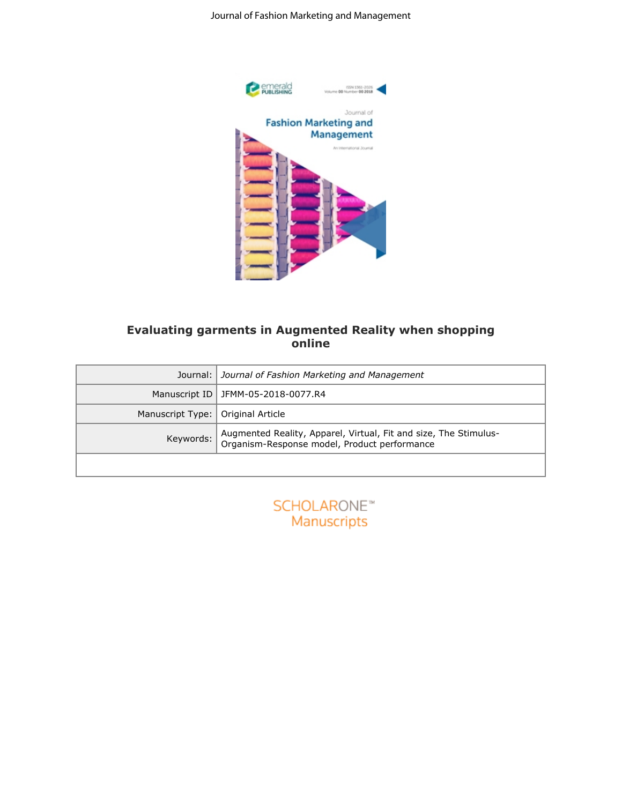

### **Evaluating garments in Augmented Reality when shopping online**

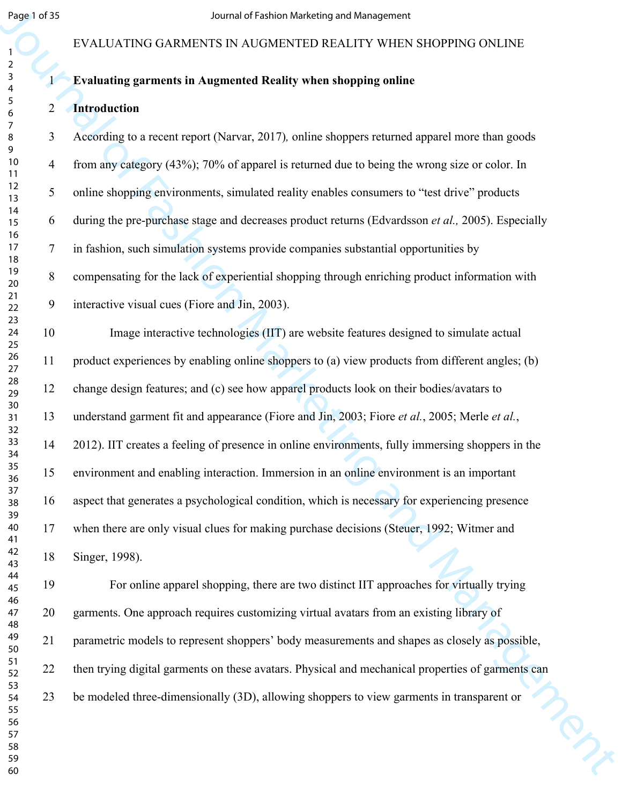#### EVALUATING GARMENTS IN AUGMENTED REALITY WHEN SHOPPING ONLINE

### **Evaluating garments in Augmented Reality when shopping online**

#### **Introduction**

Segn of Sec.<br>
EVALUATEVO GARMENTS IN AUGAIENTED REAL ITY WHEN SHOPPING ONLINE<br>
IS EVALUATENO GARMENTS IN AUGAIENTED REAL ITY WHEN SHOPPING ONLINE<br>
1 For Fashion Marketing mements in Angments Reality when shopping maline<br> 3 According to a recent report (Narvar, 2017)*,* online shoppers returned apparel more than goods 4 from any category (43%); 70% of apparel is returned due to being the wrong size or color. In 5 online shopping environments, simulated reality enables consumers to "test drive" products 6 during the pre-purchase stage and decreases product returns (Edvardsson *et al.,* 2005). Especially 7 in fashion, such simulation systems provide companies substantial opportunities by 8 compensating for the lack of experiential shopping through enriching product information with 9 interactive visual cues (Fiore and Jin, 2003). 10 Image interactive technologies (IIT) are website features designed to simulate actual 11 product experiences by enabling online shoppers to (a) view products from different angles; (b) 12 change design features; and (c) see how apparel products look on their bodies/avatars to 13 understand garment fit and appearance (Fiore and Jin, 2003; Fiore *et al.*, 2005; Merle *et al.*, 14 2012). IIT creates a feeling of presence in online environments, fully immersing shoppers in the 15 environment and enabling interaction. Immersion in an online environment is an important 16 aspect that generates a psychological condition, which is necessary for experiencing presence 17 when there are only visual clues for making purchase decisions (Steuer, 1992; Witmer and 18 Singer, 1998).

19 For online apparel shopping, there are two distinct IIT approaches for virtually trying 20 garments. One approach requires customizing virtual avatars from an existing library of 21 parametric models to represent shoppers' body measurements and shapes as closely as possible, 22 then trying digital garments on these avatars. Physical and mechanical properties of garments can 23 be modeled three-dimensionally (3D), allowing shoppers to view garments in transparent or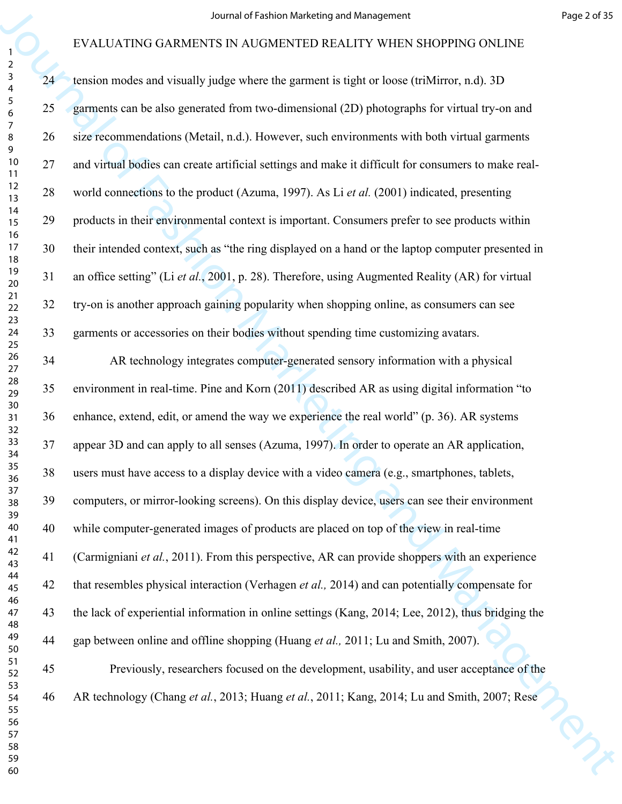|                                                           |    | Journal of Fashion Marketing and Management                                                            | Page 2 of 35 |
|-----------------------------------------------------------|----|--------------------------------------------------------------------------------------------------------|--------------|
|                                                           |    | EVALUATING GARMENTS IN AUGMENTED REALITY WHEN SHOPPING ONLINE                                          |              |
| $\overline{2}$<br>$\mathsf{3}$<br>$\overline{\mathbf{4}}$ | 24 | tension modes and visually judge where the garment is tight or loose (triMirror, n.d). 3D              |              |
| $\sqrt{5}$<br>6                                           | 25 | garments can be also generated from two-dimensional (2D) photographs for virtual try-on and            |              |
| $\overline{7}$<br>8<br>9                                  | 26 | size recommendations (Metail, n.d.). However, such environments with both virtual garments             |              |
| 10<br>11                                                  | 27 | and virtual bodies can create artificial settings and make it difficult for consumers to make real-    |              |
| 12<br>13                                                  | 28 | world connections to the product (Azuma, 1997). As Li et al. (2001) indicated, presenting              |              |
| 14<br>15                                                  | 29 | products in their environmental context is important. Consumers prefer to see products within          |              |
| 16<br>17<br>18                                            | 30 | their intended context, such as "the ring displayed on a hand or the laptop computer presented in      |              |
| 19<br>20                                                  | 31 | an office setting" (Li et al., 2001, p. 28). Therefore, using Augmented Reality (AR) for virtual       |              |
| $21$<br>22                                                | 32 | try-on is another approach gaining popularity when shopping online, as consumers can see               |              |
| 23<br>24<br>25                                            | 33 | garments or accessories on their bodies without spending time customizing avatars.                     |              |
| $26\,$<br>27                                              | 34 | AR technology integrates computer-generated sensory information with a physical                        |              |
| 28<br>29                                                  | 35 | environment in real-time. Pine and Korn (2011) described AR as using digital information "to           |              |
| 30<br>31<br>32                                            | 36 | enhance, extend, edit, or amend the way we experience the real world" (p. 36). AR systems              |              |
| 33<br>34                                                  | 37 | appear 3D and can apply to all senses (Azuma, 1997). In order to operate an AR application,            |              |
| 35<br>36                                                  | 38 | users must have access to a display device with a video camera (e.g., smartphones, tablets,            |              |
| 37<br>38                                                  | 39 | computers, or mirror-looking screens). On this display device, users can see their environment         |              |
| 39<br>40<br>41                                            | 40 | while computer-generated images of products are placed on top of the view in real-time                 |              |
| 42<br>43                                                  | 41 | (Carmigniani et al., 2011). From this perspective, AR can provide shoppers with an experience          |              |
| 44<br>45                                                  | 42 | that resembles physical interaction (Verhagen <i>et al.</i> , 2014) and can potentially compensate for |              |
| 46<br>47<br>48                                            | 43 | the lack of experiential information in online settings (Kang, 2014; Lee, 2012), thus bridging the     |              |
| 49<br>50                                                  | 44 | gap between online and offline shopping (Huang et al., 2011; Lu and Smith, 2007).                      |              |
| 51<br>52                                                  | 45 | Previously, researchers focused on the development, usability, and user acceptance of the              |              |
| 53<br>54<br>55                                            | 46 | AR technology (Chang et al., 2013; Huang et al., 2011; Kang, 2014; Lu and Smith, 2007; Rese            |              |
| 56<br>57                                                  |    |                                                                                                        |              |
| 58<br>59                                                  |    |                                                                                                        |              |
| 60                                                        |    |                                                                                                        |              |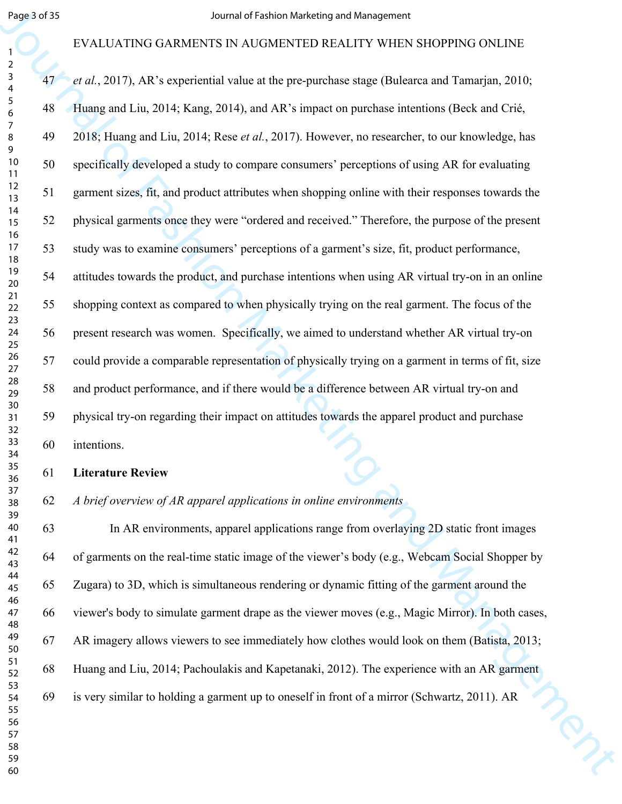#### EVALUATING GARMENTS IN AUGMENTED REALITY WHEN SHOPPING ONLINE

Segue of  $\beta$ <br>
EVALUATEN GARMENTS IN NAME and Fashion redefinitive MEN SIMPORTS (NLINE)<br>
EVALUATEN GARMENTS IN NAME and LINE and ARE singulate capture that the management of  $\beta$ <br>
43 are  $\beta$ , 2017). Although and Line, 20 *et al.*, 2017), AR's experiential value at the pre-purchase stage (Bulearca and Tamarjan, 2010; 48 Huang and Liu, 2014; Kang, 2014), and AR's impact on purchase intentions (Beck and Crié, 49 2018; Huang and Liu, 2014; Rese *et al.*, 2017). However, no researcher, to our knowledge, has 50 specifically developed a study to compare consumers' perceptions of using AR for evaluating 51 garment sizes, fit, and product attributes when shopping online with their responses towards the 52 physical garments once they were "ordered and received." Therefore, the purpose of the present 53 study was to examine consumers' perceptions of a garment's size, fit, product performance, 54 attitudes towards the product, and purchase intentions when using AR virtual try-on in an online 55 shopping context as compared to when physically trying on the real garment. The focus of the 56 present research was women. Specifically, we aimed to understand whether AR virtual try-on 57 could provide a comparable representation of physically trying on a garment in terms of fit, size 58 and product performance, and if there would be a difference between AR virtual try-on and 59 physical try-on regarding their impact on attitudes towards the apparel product and purchase 60 intentions.

**Literature Review**

*A brief overview of AR apparel applications in online environments*

63 In AR environments, apparel applications range from overlaying 2D static front images 64 of garments on the real-time static image of the viewer's body (e.g., Webcam Social Shopper by 65 Zugara) to 3D, which is simultaneous rendering or dynamic fitting of the garment around the 66 viewer's body to simulate garment drape as the viewer moves (e.g., Magic Mirror). In both cases, 67 AR imagery allows viewers to see immediately how clothes would look on them (Batista, 2013; 68 Huang and Liu, 2014; Pachoulakis and Kapetanaki, 2012). The experience with an AR garment 69 is very similar to holding a garment up to oneself in front of a mirror (Schwartz, 2011). AR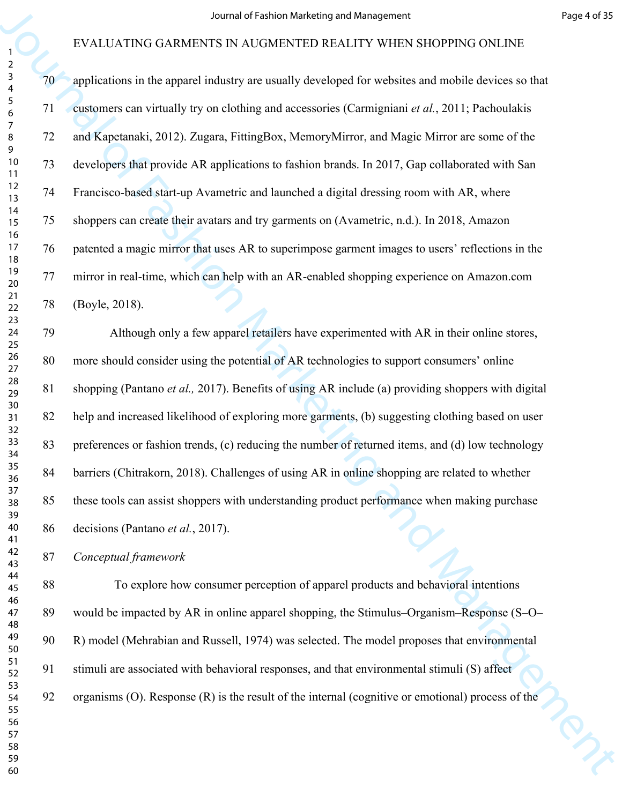|                                                           |        | Journal of Fashion Marketing and Management                                                        | Page 4 of 35 |
|-----------------------------------------------------------|--------|----------------------------------------------------------------------------------------------------|--------------|
|                                                           |        | EVALUATING GARMENTS IN AUGMENTED REALITY WHEN SHOPPING ONLINE                                      |              |
| $\overline{2}$<br>$\mathsf{3}$<br>$\overline{\mathbf{4}}$ | 70     | applications in the apparel industry are usually developed for websites and mobile devices so that |              |
| $\sqrt{5}$<br>$\boldsymbol{6}$                            | 71     | customers can virtually try on clothing and accessories (Carmigniani et al., 2011; Pachoulakis     |              |
| $\overline{7}$<br>8                                       | 72     | and Kapetanaki, 2012). Zugara, FittingBox, MemoryMirror, and Magic Mirror are some of the          |              |
| 9<br>10<br>11                                             | 73     | developers that provide AR applications to fashion brands. In 2017, Gap collaborated with San      |              |
| 12<br>13                                                  | 74     | Francisco-based start-up Avametric and launched a digital dressing room with AR, where             |              |
| 14<br>15                                                  | 75     | shoppers can create their avatars and try garments on (Avametric, n.d.). In 2018, Amazon           |              |
| 16<br>$17$<br>18                                          | 76     | patented a magic mirror that uses AR to superimpose garment images to users' reflections in the    |              |
| 19<br>20                                                  | 77     | mirror in real-time, which can help with an AR-enabled shopping experience on Amazon.com           |              |
| $21$<br>22                                                | 78     | (Boyle, 2018).                                                                                     |              |
| 23<br>24<br>25                                            | 79     | Although only a few apparel retailers have experimented with AR in their online stores,            |              |
| 26<br>27                                                  | 80     | more should consider using the potential of AR technologies to support consumers' online           |              |
| 28<br>29                                                  | 81     | shopping (Pantano et al., 2017). Benefits of using AR include (a) providing shoppers with digital  |              |
| 30<br>31                                                  | 82     | help and increased likelihood of exploring more garments, (b) suggesting clothing based on user    |              |
| 32<br>33<br>34                                            | 83     | preferences or fashion trends, (c) reducing the number of returned items, and (d) low technology   |              |
| 35<br>36                                                  | 84     | barriers (Chitrakorn, 2018). Challenges of using AR in online shopping are related to whether      |              |
| 37<br>38                                                  | 85     | these tools can assist shoppers with understanding product performance when making purchase        |              |
| 39<br>40<br>41                                            | 86     | decisions (Pantano et al., 2017).                                                                  |              |
| 42<br>43                                                  | 87     | Conceptual framework                                                                               |              |
| 44<br>45                                                  | $88\,$ | To explore how consumer perception of apparel products and behavioral intentions                   |              |
| 46<br>47<br>48                                            | 89     | would be impacted by AR in online apparel shopping, the Stimulus–Organism–Response (S–O–           |              |
| 49<br>50                                                  | 90     | R) model (Mehrabian and Russell, 1974) was selected. The model proposes that environmental         |              |
| 51<br>52                                                  | 91     | stimuli are associated with behavioral responses, and that environmental stimuli (S) affect        |              |
| 53<br>54                                                  | 92     | organisms (O). Response (R) is the result of the internal (cognitive or emotional) process of the  |              |
| 55<br>56<br>57                                            |        |                                                                                                    |              |
| 58<br>59                                                  |        |                                                                                                    |              |
| 60                                                        |        |                                                                                                    |              |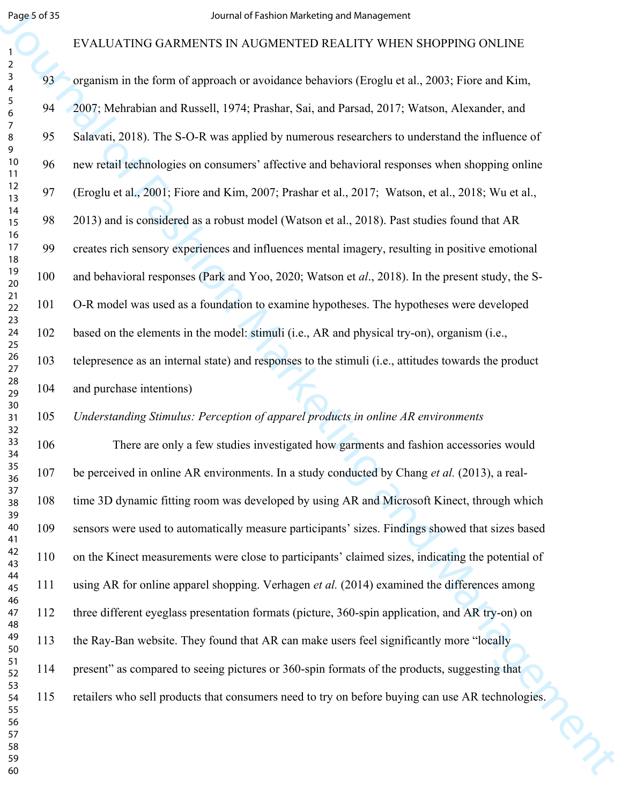# EVALUATING GARMENTS IN AUGMENTED REALITY WHEN SHOPPING ONLINE

| Page 5 of 35                                              |     | Journal of Fashion Marketing and Management                                                          |
|-----------------------------------------------------------|-----|------------------------------------------------------------------------------------------------------|
|                                                           |     | EVALUATING GARMENTS IN AUGMENTED REALITY WHEN SHOPPING ONLINE                                        |
| $\overline{a}$<br>$\mathbf{3}$<br>$\overline{\mathbf{4}}$ | 93  | organism in the form of approach or avoidance behaviors (Eroglu et al., 2003; Fiore and Kim,         |
| $\sqrt{5}$<br>6                                           | 94  | 2007; Mehrabian and Russell, 1974; Prashar, Sai, and Parsad, 2017; Watson, Alexander, and            |
| $\overline{7}$<br>8                                       | 95  | Salavati, 2018). The S-O-R was applied by numerous researchers to understand the influence of        |
| 9<br>10<br>11                                             | 96  | new retail technologies on consumers' affective and behavioral responses when shopping online        |
| 12<br>13                                                  | 97  | (Eroglu et al., 2001; Fiore and Kim, 2007; Prashar et al., 2017; Watson, et al., 2018; Wu et al.,    |
| 14<br>15                                                  | 98  | 2013) and is considered as a robust model (Watson et al., 2018). Past studies found that AR          |
| 16<br>17<br>18                                            | 99  | creates rich sensory experiences and influences mental imagery, resulting in positive emotional      |
| 19<br>20                                                  | 100 | and behavioral responses (Park and Yoo, 2020; Watson et al., 2018). In the present study, the S-     |
| 21<br>22                                                  | 101 | O-R model was used as a foundation to examine hypotheses. The hypotheses were developed              |
| 23<br>24<br>25                                            | 102 | based on the elements in the model: stimuli (i.e., AR and physical try-on), organism (i.e.,          |
| $26\,$<br>27                                              | 103 | telepresence as an internal state) and responses to the stimuli (i.e., attitudes towards the product |
| 28<br>29                                                  | 104 | and purchase intentions)                                                                             |
| 30<br>31                                                  | 105 | Understanding Stimulus: Perception of apparel products in online AR environments                     |
| 32<br>33<br>34                                            | 106 | There are only a few studies investigated how garments and fashion accessories would                 |
| 35<br>36                                                  | 107 | be perceived in online AR environments. In a study conducted by Chang et al. (2013), a real-         |
| 37<br>38                                                  | 108 | time 3D dynamic fitting room was developed by using AR and Microsoft Kinect, through which           |
| 39<br>40<br>41                                            | 109 | sensors were used to automatically measure participants' sizes. Findings showed that sizes based     |
| 42<br>43                                                  | 110 | on the Kinect measurements were close to participants' claimed sizes, indicating the potential of    |
| 44<br>45                                                  | 111 | using AR for online apparel shopping. Verhagen et al. (2014) examined the differences among          |
| 46<br>47<br>48                                            | 112 | three different eyeglass presentation formats (picture, 360-spin application, and AR try-on) on      |
| 49<br>50                                                  | 113 | the Ray-Ban website. They found that AR can make users feel significantly more "locally              |
| 51<br>52                                                  | 114 | present" as compared to seeing pictures or 360-spin formats of the products, suggesting that         |
| 53<br>54                                                  | 115 | retailers who sell products that consumers need to try on before buying can use AR technologies.     |
| 55<br>56<br>57                                            |     |                                                                                                      |
| 58<br>59                                                  |     |                                                                                                      |
| 60                                                        |     |                                                                                                      |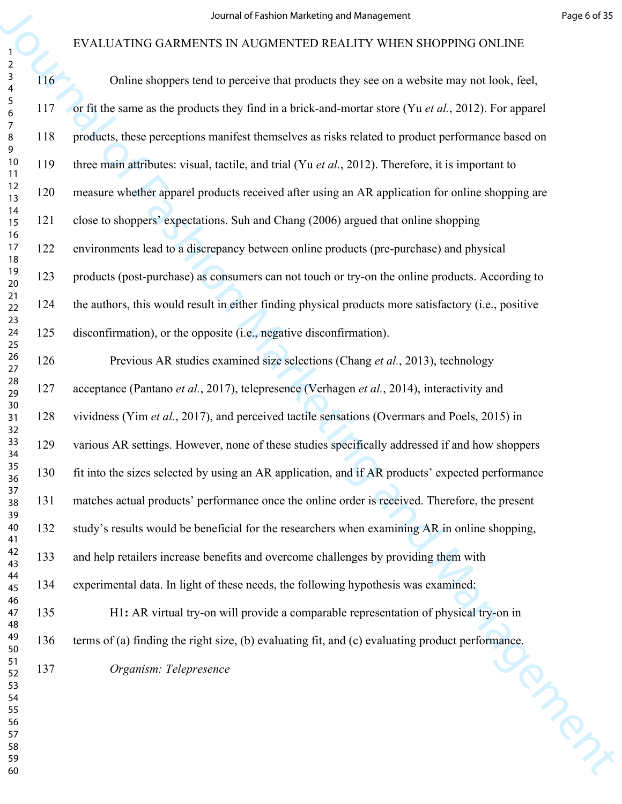|                                                                              |     | Journal of Fashion Marketing and Management                                                          | Page 6 of 35 |
|------------------------------------------------------------------------------|-----|------------------------------------------------------------------------------------------------------|--------------|
|                                                                              |     | EVALUATING GARMENTS IN AUGMENTED REALITY WHEN SHOPPING ONLINE                                        |              |
| $\overline{a}$<br>$\mathsf{3}$<br>$\overline{\mathbf{4}}$<br>$\sqrt{5}$<br>6 | 116 | Online shoppers tend to perceive that products they see on a website may not look, feel,             |              |
|                                                                              | 117 | or fit the same as the products they find in a brick-and-mortar store (Yu et al., 2012). For apparel |              |
| 7<br>8<br>9                                                                  | 118 | products, these perceptions manifest themselves as risks related to product performance based on     |              |
| 10<br>11<br>12<br>13                                                         | 119 | three main attributes: visual, tactile, and trial (Yu et al., 2012). Therefore, it is important to   |              |
|                                                                              | 120 | measure whether apparel products received after using an AR application for online shopping are      |              |
| 14<br>15                                                                     | 121 | close to shoppers' expectations. Suh and Chang (2006) argued that online shopping                    |              |
| 16<br>17<br>18                                                               | 122 | environments lead to a discrepancy between online products (pre-purchase) and physical               |              |
| 19<br>20                                                                     | 123 | products (post-purchase) as consumers can not touch or try-on the online products. According to      |              |
| 21<br>22                                                                     | 124 | the authors, this would result in either finding physical products more satisfactory (i.e., positive |              |
| 23<br>24<br>25                                                               | 125 | disconfirmation), or the opposite (i.e., negative disconfirmation).                                  |              |
| $26\,$<br>27                                                                 | 126 | Previous AR studies examined size selections (Chang et al., 2013), technology                        |              |
| 28<br>29                                                                     | 127 | acceptance (Pantano et al., 2017), telepresence (Verhagen et al., 2014), interactivity and           |              |
| 30<br>31<br>32                                                               | 128 | vividness (Yim et al., 2017), and perceived tactile sensations (Overmars and Poels, 2015) in         |              |
| 33<br>34<br>35<br>36                                                         | 129 | various AR settings. However, none of these studies specifically addressed if and how shoppers       |              |
|                                                                              | 130 | fit into the sizes selected by using an AR application, and if AR products' expected performance     |              |
| 37<br>38<br>39                                                               | 131 | matches actual products' performance once the online order is received. Therefore, the present       |              |
| 40<br>41                                                                     | 132 | study's results would be beneficial for the researchers when examining AR in online shopping,        |              |
| 42<br>43                                                                     | 133 | and help retailers increase benefits and overcome challenges by providing them with                  |              |
| 44<br>45                                                                     | 134 | experimental data. In light of these needs, the following hypothesis was examined:                   |              |
| 46<br>47<br>48                                                               | 135 | H1: AR virtual try-on will provide a comparable representation of physical try-on in                 |              |
| 49<br>50                                                                     | 136 | terms of (a) finding the right size, (b) evaluating fit, and (c) evaluating product performance.     |              |
| 51<br>52                                                                     | 137 | Organism: Telepresence                                                                               |              |
| 53<br>54<br>55                                                               |     |                                                                                                      |              |
| 56<br>57                                                                     |     |                                                                                                      | <b>PARA</b>  |
| 58<br>59                                                                     |     |                                                                                                      |              |
| 60                                                                           |     |                                                                                                      |              |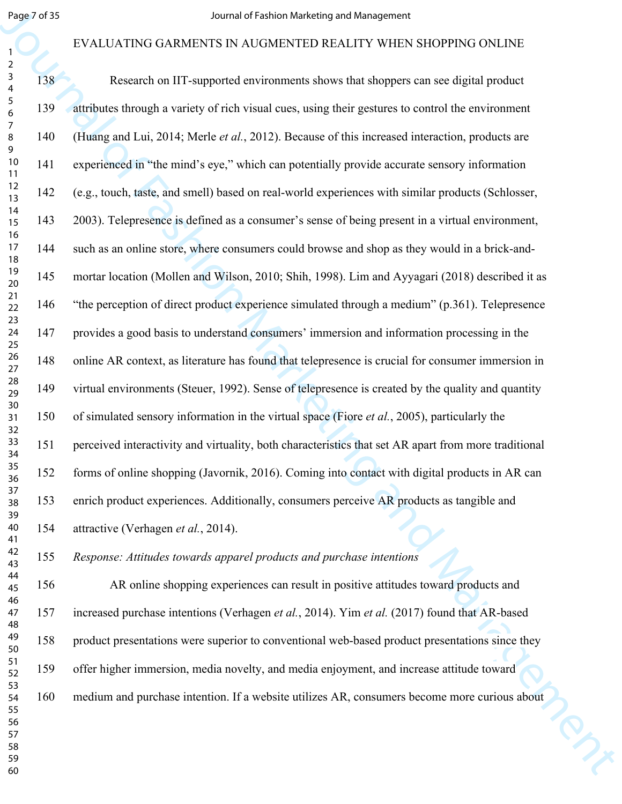#### EVALUATING GARMENTS IN AUGMENTED REALITY WHEN SHOPPING ONLINE

| Page 7 of 35                                              |     | Journal of Fashion Marketing and Management                                                          |
|-----------------------------------------------------------|-----|------------------------------------------------------------------------------------------------------|
| 1                                                         |     | EVALUATING GARMENTS IN AUGMENTED REALITY WHEN SHOPPING ONLINE                                        |
| $\overline{a}$<br>$\mathsf{3}$<br>$\overline{\mathbf{4}}$ | 138 | Research on IIT-supported environments shows that shoppers can see digital product                   |
| $\sqrt{5}$<br>6                                           | 139 | attributes through a variety of rich visual cues, using their gestures to control the environment    |
| $\overline{7}$<br>8<br>9                                  | 140 | (Huang and Lui, 2014; Merle et al., 2012). Because of this increased interaction, products are       |
| 10<br>11                                                  | 141 | experienced in "the mind's eye," which can potentially provide accurate sensory information          |
| 12<br>13                                                  | 142 | (e.g., touch, taste, and smell) based on real-world experiences with similar products (Schlosser,    |
| 14<br>15                                                  | 143 | 2003). Telepresence is defined as a consumer's sense of being present in a virtual environment,      |
| 16<br>17<br>18                                            | 144 | such as an online store, where consumers could browse and shop as they would in a brick-and-         |
| 19<br>20                                                  | 145 | mortar location (Mollen and Wilson, 2010; Shih, 1998). Lim and Ayyagari (2018) described it as       |
| 21<br>22                                                  | 146 | "the perception of direct product experience simulated through a medium" (p.361). Telepresence       |
| 23<br>24<br>25                                            | 147 | provides a good basis to understand consumers' immersion and information processing in the           |
| $26\,$<br>27                                              | 148 | online AR context, as literature has found that telepresence is crucial for consumer immersion in    |
| 28<br>29                                                  | 149 | virtual environments (Steuer, 1992). Sense of telepresence is created by the quality and quantity    |
| 30<br>31<br>32                                            | 150 | of simulated sensory information in the virtual space (Fiore et al., 2005), particularly the         |
| 33<br>34                                                  | 151 | perceived interactivity and virtuality, both characteristics that set AR apart from more traditional |
| 35<br>36                                                  | 152 | forms of online shopping (Javornik, 2016). Coming into contact with digital products in AR can       |
| 37<br>38<br>39                                            | 153 | enrich product experiences. Additionally, consumers perceive AR products as tangible and             |
| 40<br>41                                                  | 154 | attractive (Verhagen et al., 2014).                                                                  |
| 42<br>43                                                  | 155 | Response: Attitudes towards apparel products and purchase intentions                                 |
| 44<br>45                                                  | 156 | AR online shopping experiences can result in positive attitudes toward products and                  |
| 46<br>47<br>48                                            | 157 | increased purchase intentions (Verhagen et al., 2014). Yim et al. (2017) found that AR-based         |
| 49<br>50                                                  | 158 | product presentations were superior to conventional web-based product presentations since they       |
| 51<br>52                                                  | 159 | offer higher immersion, media novelty, and media enjoyment, and increase attitude toward             |
| 53<br>54<br>55                                            | 160 | medium and purchase intention. If a website utilizes AR, consumers become more curious about         |
| 56<br>57                                                  |     |                                                                                                      |
| 58<br>59                                                  |     |                                                                                                      |
| 60                                                        |     |                                                                                                      |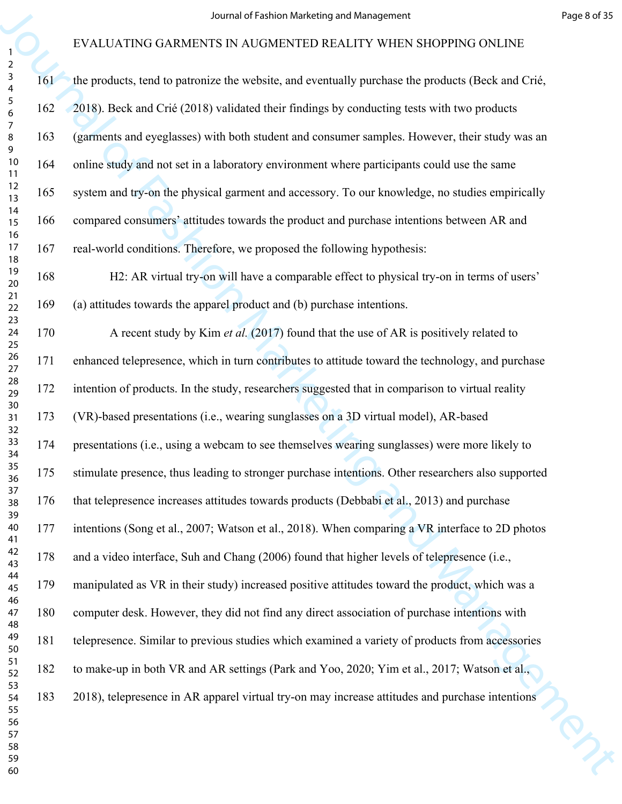|                                                           |     | Journal of Fashion Marketing and Management                                                        | Page 8 of 35 |
|-----------------------------------------------------------|-----|----------------------------------------------------------------------------------------------------|--------------|
|                                                           |     | EVALUATING GARMENTS IN AUGMENTED REALITY WHEN SHOPPING ONLINE                                      |              |
| $\overline{a}$<br>$\mathbf{3}$<br>$\overline{\mathbf{4}}$ | 161 | the products, tend to patronize the website, and eventually purchase the products (Beck and Crié,  |              |
| $\sqrt{5}$<br>6                                           | 162 | 2018). Beck and Crié (2018) validated their findings by conducting tests with two products         |              |
| $\overline{7}$<br>8<br>9                                  | 163 | (garments and eyeglasses) with both student and consumer samples. However, their study was an      |              |
| 10<br>11                                                  | 164 | online study and not set in a laboratory environment where participants could use the same         |              |
| 12<br>13                                                  | 165 | system and try-on the physical garment and accessory. To our knowledge, no studies empirically     |              |
| 14<br>15                                                  | 166 | compared consumers' attitudes towards the product and purchase intentions between AR and           |              |
| 16<br>17<br>18                                            | 167 | real-world conditions. Therefore, we proposed the following hypothesis:                            |              |
| 19<br>20                                                  | 168 | H2: AR virtual try-on will have a comparable effect to physical try-on in terms of users'          |              |
| 21<br>22                                                  | 169 | (a) attitudes towards the apparel product and (b) purchase intentions.                             |              |
| 23<br>24<br>25                                            | 170 | A recent study by Kim et al. (2017) found that the use of AR is positively related to              |              |
| $26\,$<br>27                                              | 171 | enhanced telepresence, which in turn contributes to attitude toward the technology, and purchase   |              |
| 28<br>29                                                  | 172 | intention of products. In the study, researchers suggested that in comparison to virtual reality   |              |
| 30<br>31<br>32                                            | 173 | (VR)-based presentations (i.e., wearing sunglasses on a 3D virtual model), AR-based                |              |
| 33<br>34                                                  | 174 | presentations (i.e., using a webcam to see themselves wearing sunglasses) were more likely to      |              |
| 35<br>36                                                  | 175 | stimulate presence, thus leading to stronger purchase intentions. Other researchers also supported |              |
| 37<br>38<br>39                                            | 176 | that telepresence increases attitudes towards products (Debbabi et al., 2013) and purchase         |              |
| 40<br>41                                                  | 177 | intentions (Song et al., 2007; Watson et al., 2018). When comparing a VR interface to 2D photos    |              |
| 42<br>43                                                  | 178 | and a video interface, Suh and Chang (2006) found that higher levels of telepresence (i.e.,        |              |
| 44<br>45                                                  | 179 | manipulated as VR in their study) increased positive attitudes toward the product, which was a     |              |
| 46<br>47<br>48                                            | 180 | computer desk. However, they did not find any direct association of purchase intentions with       |              |
| 49<br>50                                                  | 181 | telepresence. Similar to previous studies which examined a variety of products from accessories    |              |
| 51<br>52                                                  | 182 | to make-up in both VR and AR settings (Park and Yoo, 2020; Yim et al., 2017; Watson et al.,        |              |
| 53<br>54<br>55                                            | 183 | 2018), telepresence in AR apparel virtual try-on may increase attitudes and purchase intentions    |              |
| 56<br>57                                                  |     |                                                                                                    |              |
| 58<br>59                                                  |     |                                                                                                    |              |
| 60                                                        |     |                                                                                                    |              |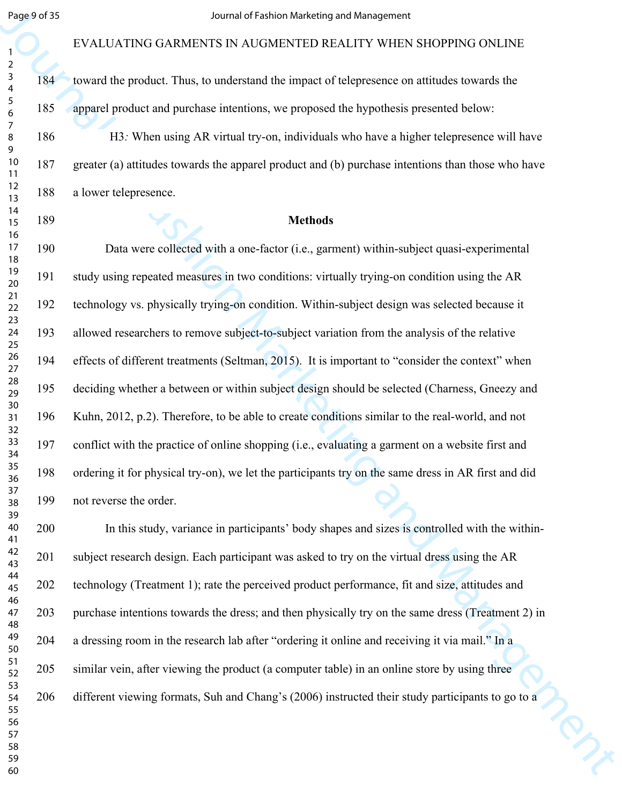#### EVALUATING GARMENTS IN AUGMENTED REALITY WHEN SHOPPING ONLINE

184 toward the product. Thus, to understand the impact of telepresence on attitudes towards the 185 apparel product and purchase intentions, we proposed the hypothesis presented below:

186 H3*:* When using AR virtual try-on, individuals who have a higher telepresence will have 187 greater (a) attitudes towards the apparel product and (b) purchase intentions than those who have 188 a lower telepresence.

#### **Methods**

Segue of S<br>
FVALUATING GARMENTS IN ANGAMENTS COMPRIGENT STAND (FOR THE TRANSPORTS ON EVALUATIES CONTRACT STAND INTO THE TRANSPORT ON THE SAME INTO  $\frac{1}{4}$  To  $\frac{1}{4}$  To  $\frac{1}{4}$  To  $\frac{1}{4}$  To  $\frac{1}{4}$  To  $\frac{1}{4}$ 190 Data were collected with a one-factor (i.e., garment) within-subject quasi-experimental 191 study using repeated measures in two conditions: virtually trying-on condition using the AR 192 technology vs. physically trying-on condition. Within-subject design was selected because it 193 allowed researchers to remove subject-to-subject variation from the analysis of the relative 194 effects of different treatments (Seltman, 2015). It is important to "consider the context" when 195 deciding whether a between or within subject design should be selected (Charness, Gneezy and 196 Kuhn, 2012, p.2). Therefore, to be able to create conditions similar to the real-world, and not 197 conflict with the practice of online shopping (i.e., evaluating a garment on a website first and 198 ordering it for physical try-on), we let the participants try on the same dress in AR first and did 199 not reverse the order.

200 In this study, variance in participants' body shapes and sizes is controlled with the within-201 subject research design. Each participant was asked to try on the virtual dress using the AR 202 technology (Treatment 1); rate the perceived product performance, fit and size, attitudes and 203 purchase intentions towards the dress; and then physically try on the same dress (Treatment 2) in 204 a dressing room in the research lab after "ordering it online and receiving it via mail." In a 205 similar vein, after viewing the product (a computer table) in an online store by using three 206 different viewing formats, Suh and Chang's (2006) instructed their study participants to go to a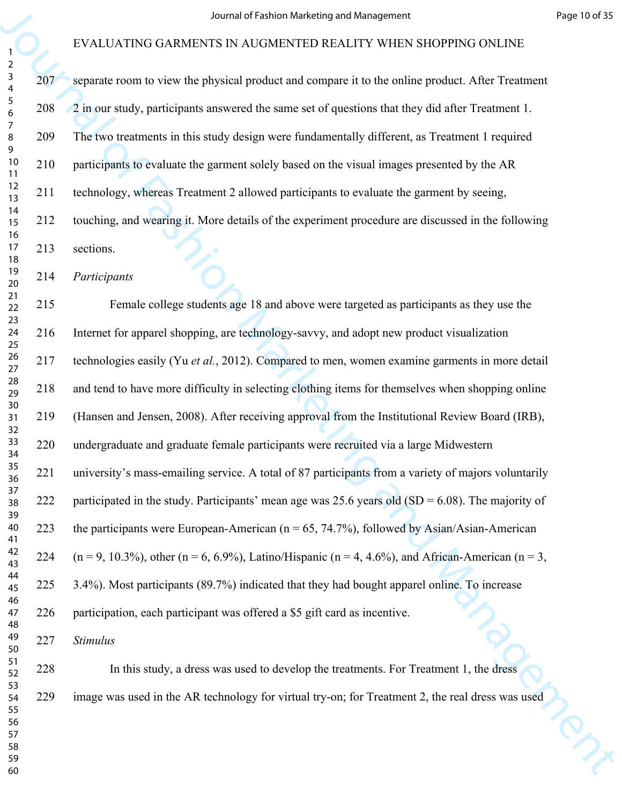|                                                        |     | Journal of Fashion Marketing and Management                                                                            | Page 10 of 35 |
|--------------------------------------------------------|-----|------------------------------------------------------------------------------------------------------------------------|---------------|
|                                                        |     | EVALUATING GARMENTS IN AUGMENTED REALITY WHEN SHOPPING ONLINE                                                          |               |
| $\overline{a}$<br>$\mathbf{3}$<br>4<br>$\sqrt{5}$<br>6 | 207 | separate room to view the physical product and compare it to the online product. After Treatment                       |               |
|                                                        | 208 | 2 in our study, participants answered the same set of questions that they did after Treatment 1.                       |               |
| 7<br>8                                                 | 209 | The two treatments in this study design were fundamentally different, as Treatment 1 required                          |               |
| 9<br>10<br>11                                          | 210 | participants to evaluate the garment solely based on the visual images presented by the AR                             |               |
| 12<br>13                                               | 211 | technology, whereas Treatment 2 allowed participants to evaluate the garment by seeing,                                |               |
| 14<br>15                                               | 212 | touching, and wearing it. More details of the experiment procedure are discussed in the following                      |               |
| 16<br>$17$<br>18                                       | 213 | sections.                                                                                                              |               |
| 19<br>20                                               | 214 | Participants                                                                                                           |               |
| 21<br>22                                               | 215 | Female college students age 18 and above were targeted as participants as they use the                                 |               |
| 23<br>24<br>25                                         | 216 | Internet for apparel shopping, are technology-savvy, and adopt new product visualization                               |               |
| 26<br>27                                               | 217 | technologies easily (Yu et al., 2012). Compared to men, women examine garments in more detail                          |               |
| 28<br>29                                               | 218 | and tend to have more difficulty in selecting clothing items for themselves when shopping online                       |               |
| 30<br>31<br>32                                         | 219 | (Hansen and Jensen, 2008). After receiving approval from the Institutional Review Board (IRB),                         |               |
| 33<br>34                                               | 220 | undergraduate and graduate female participants were recruited via a large Midwestern                                   |               |
| 35<br>36                                               | 221 | university's mass-emailing service. A total of 87 participants from a variety of majors voluntarily                    |               |
| 37<br>38<br>39                                         | 222 | participated in the study. Participants' mean age was 25.6 years old (SD = $6.08$ ). The majority of                   |               |
| 40<br>41                                               | 223 | the participants were European-American ( $n = 65$ , 74.7%), followed by Asian/Asian-American                          |               |
| 42<br>43                                               | 224 | $(n = 9, 10.3\%)$ , other $(n = 6, 6.9\%)$ , Latino/Hispanic $(n = 4, 4.6\%)$ , and African-American $(n = 3, 10.3\%)$ |               |
| 44<br>45                                               | 225 | 3.4%). Most participants (89.7%) indicated that they had bought apparel online. To increase                            |               |
| 46<br>47<br>48                                         | 226 | participation, each participant was offered a \$5 gift card as incentive.                                              |               |
| 49<br>50                                               | 227 | <b>Stimulus</b>                                                                                                        |               |
| 51<br>52                                               | 228 | In this study, a dress was used to develop the treatments. For Treatment 1, the dress                                  |               |
| 53<br>54<br>55                                         | 229 | image was used in the AR technology for virtual try-on; for Treatment 2, the real dress was used                       |               |
| 56<br>57                                               |     |                                                                                                                        |               |
| 58<br>59                                               |     |                                                                                                                        |               |
| 60                                                     |     |                                                                                                                        |               |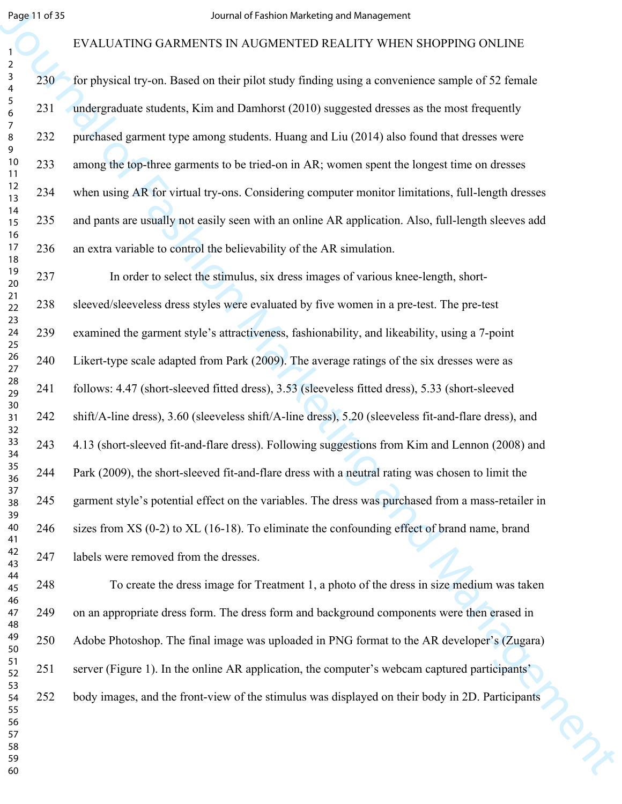#### EVALUATING GARMENTS IN AUGMENTED REALITY WHEN SHOPPING ONLINE

230 for physical try-on. Based on their pilot study finding using a convenience sample of 52 female 231 undergraduate students, Kim and Damhorst (2010) suggested dresses as the most frequently 232 purchased garment type among students. Huang and Liu (2014) also found that dresses were 233 among the top-three garments to be tried-on in AR; women spent the longest time on dresses 234 when using AR for virtual try-ons. Considering computer monitor limitations, full-length dresses 235 and pants are usually not easily seen with an online AR application. Also, full-length sleeves add 236 an extra variable to control the believability of the AR simulation.

Begall of St. EVALUATING GARMENTS IN NUGALIZED and Management<br>
FVALUATING GARMENTS IN NUGALIZED INTO WELFARED AS CONFIGURE CONTINUES (SEE STEVING SUPPORTS ON THE STEVING ARE CONTINUES (SEE STEVING AND THE STEVING AND INTO 237 In order to select the stimulus, six dress images of various knee-length, short-238 sleeved/sleeveless dress styles were evaluated by five women in a pre-test. The pre-test 239 examined the garment style's attractiveness, fashionability, and likeability, using a 7-point 240 Likert-type scale adapted from Park (2009). The average ratings of the six dresses were as 241 follows: 4.47 (short-sleeved fitted dress), 3.53 (sleeveless fitted dress), 5.33 (short-sleeved 242 shift/A-line dress), 3.60 (sleeveless shift/A-line dress), 5.20 (sleeveless fit-and-flare dress), and 243 4.13 (short-sleeved fit-and-flare dress). Following suggestions from Kim and Lennon (2008) and 244 Park (2009), the short-sleeved fit-and-flare dress with a neutral rating was chosen to limit the 245 garment style's potential effect on the variables. The dress was purchased from a mass-retailer in 246 sizes from XS (0-2) to XL (16-18). To eliminate the confounding effect of brand name, brand 247 labels were removed from the dresses.

248 To create the dress image for Treatment 1, a photo of the dress in size medium was taken 249 on an appropriate dress form. The dress form and background components were then erased in 250 Adobe Photoshop. The final image was uploaded in PNG format to the AR developer's (Zugara) 251 server (Figure 1). In the online AR application, the computer's webcam captured participants' 252 body images, and the front-view of the stimulus was displayed on their body in 2D. Participants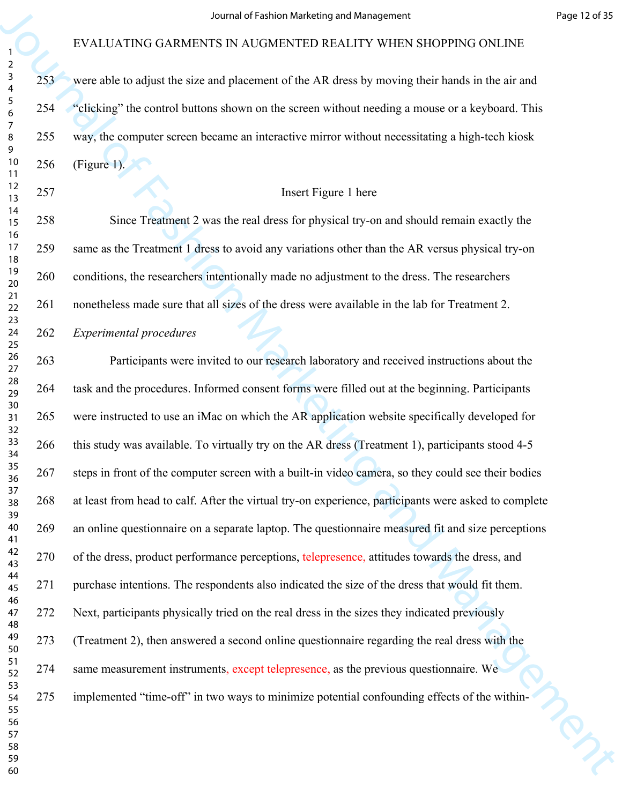253 were able to adjust the size and placement of the AR dress by moving their hands in the air and 254 "clicking" the control buttons shown on the screen without needing a mouse or a keyboard. This 255 way, the computer screen became an interactive mirror without necessitating a high-tech kiosk 256 (Figure 1).

#### Insert Figure 1 here

258 Since Treatment 2 was the real dress for physical try-on and should remain exactly the 259 same as the Treatment 1 dress to avoid any variations other than the AR versus physical try-on 260 conditions, the researchers intentionally made no adjustment to the dress. The researchers 261 nonetheless made sure that all sizes of the dress were available in the lab for Treatment 2.

#### *Experimental procedures*

For EVALUATING GARMENTS IN NATURE ART (1978) Were the set of Fash of Fashion CoNDINEERS CONDINEERS IN NATURE SCONDING THE NATURE METAL WARRENT SURVEY WAS ARREST UNIT WAS ARREST UNIT WHEN SHOPPING ONLINE  $\frac{2}{\sqrt{2}}$  were 263 Participants were invited to our research laboratory and received instructions about the 264 task and the procedures. Informed consent forms were filled out at the beginning. Participants 265 were instructed to use an iMac on which the AR application website specifically developed for 266 this study was available. To virtually try on the AR dress (Treatment 1), participants stood 4-5 267 steps in front of the computer screen with a built-in video camera, so they could see their bodies 268 at least from head to calf. After the virtual try-on experience, participants were asked to complete 269 an online questionnaire on a separate laptop. The questionnaire measured fit and size perceptions 270 of the dress, product performance perceptions, telepresence, attitudes towards the dress, and 271 purchase intentions. The respondents also indicated the size of the dress that would fit them. 272 Next, participants physically tried on the real dress in the sizes they indicated previously 273 (Treatment 2), then answered a second online questionnaire regarding the real dress with the 274 same measurement instruments, except telepresence, as the previous questionnaire. We 275 implemented "time-off" in two ways to minimize potential confounding effects of the within-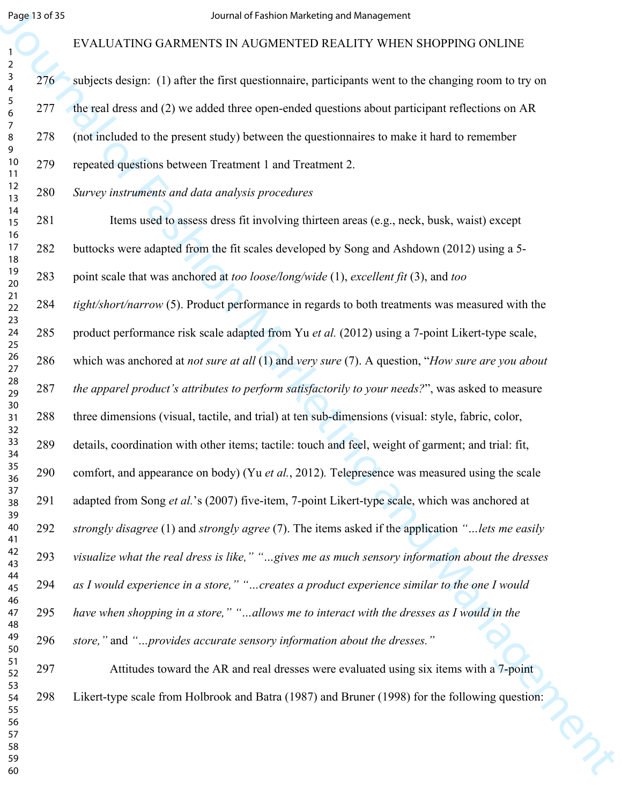# EVALUATING GARMENTS IN AUGMENTED REALITY WHEN SHOPPING ONLINE

| Page 13 of 35                                             |     | Journal of Fashion Marketing and Management                                                                            |
|-----------------------------------------------------------|-----|------------------------------------------------------------------------------------------------------------------------|
| 1                                                         |     | EVALUATING GARMENTS IN AUGMENTED REALITY WHEN SHOPPING ONLINE                                                          |
| $\overline{2}$<br>$\mathbf{3}$<br>$\overline{\mathbf{4}}$ | 276 | subjects design: (1) after the first questionnaire, participants went to the changing room to try on                   |
| $\sqrt{5}$<br>6                                           | 277 | the real dress and (2) we added three open-ended questions about participant reflections on AR                         |
| $\overline{7}$<br>8<br>9                                  | 278 | (not included to the present study) between the questionnaires to make it hard to remember                             |
| 10<br>11                                                  | 279 | repeated questions between Treatment 1 and Treatment 2.                                                                |
| 12<br>13                                                  | 280 | Survey instruments and data analysis procedures                                                                        |
| 14<br>15                                                  | 281 | Items used to assess dress fit involving thirteen areas (e.g., neck, busk, waist) except                               |
| 16<br>17<br>18                                            | 282 | buttocks were adapted from the fit scales developed by Song and Ashdown (2012) using a 5-                              |
| 19<br>$20\,$                                              | 283 | point scale that was anchored at too loose/long/wide (1), excellent fit (3), and too                                   |
| 21<br>22                                                  | 284 | tight/short/narrow (5). Product performance in regards to both treatments was measured with the                        |
| 23<br>24<br>25                                            | 285 | product performance risk scale adapted from Yu et al. (2012) using a 7-point Likert-type scale,                        |
| $26\,$<br>$27\,$                                          | 286 | which was anchored at <i>not sure at all</i> (1) and <i>very sure</i> (7). A question, " <i>How sure are you about</i> |
| 28<br>29                                                  | 287 | the apparel product's attributes to perform satisfactorily to your needs?", was asked to measure                       |
| 30<br>31<br>32                                            | 288 | three dimensions (visual, tactile, and trial) at ten sub-dimensions (visual: style, fabric, color,                     |
| 33<br>34                                                  | 289 | details, coordination with other items; tactile: touch and feel, weight of garment; and trial: fit,                    |
| 35<br>36                                                  | 290 | comfort, and appearance on body) (Yu et al., 2012). Telepresence was measured using the scale                          |
| 37<br>38<br>39                                            | 291 | adapted from Song et al.'s (2007) five-item, 7-point Likert-type scale, which was anchored at                          |
| 40<br>41                                                  | 292 | strongly disagree (1) and strongly agree (7). The items asked if the application "lets me easily                       |
| 42<br>43                                                  | 293 | visualize what the real dress is like," "gives me as much sensory information about the dresses                        |
| 44<br>45                                                  | 294 | as I would experience in a store," "creates a product experience similar to the one I would                            |
| 46<br>47<br>48                                            | 295 | have when shopping in a store," "allows me to interact with the dresses as I would in the                              |
| 49<br>50                                                  | 296 | store," and "provides accurate sensory information about the dresses."                                                 |
| 51<br>52                                                  | 297 | Attitudes toward the AR and real dresses were evaluated using six items with a 7-point                                 |
| 53<br>54<br>55                                            | 298 | Likert-type scale from Holbrook and Batra (1987) and Bruner (1998) for the following question:                         |
| 56<br>57                                                  |     |                                                                                                                        |
| 58<br>59                                                  |     |                                                                                                                        |
| 60                                                        |     |                                                                                                                        |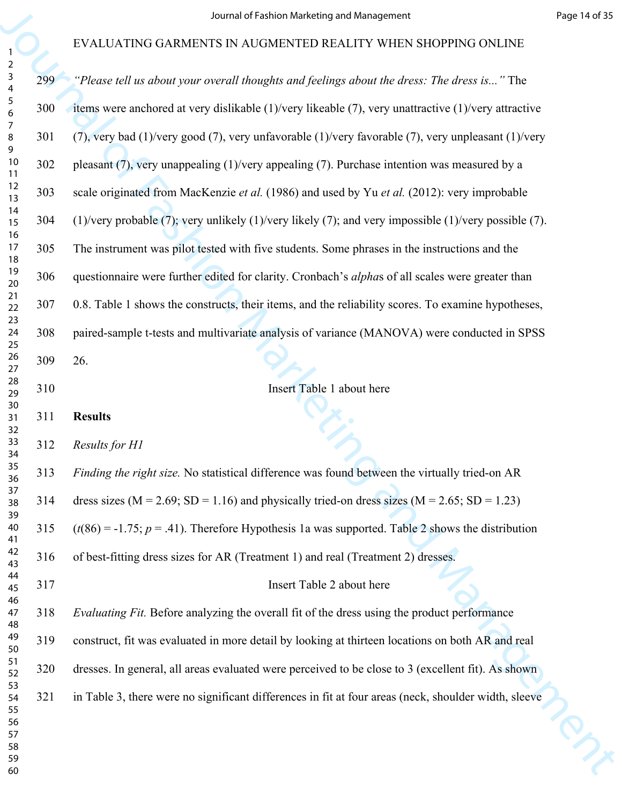|                                     |     | Journal of Fashion Marketing and Management                                                                            | Page 14 of 35 |
|-------------------------------------|-----|------------------------------------------------------------------------------------------------------------------------|---------------|
|                                     |     | EVALUATING GARMENTS IN AUGMENTED REALITY WHEN SHOPPING ONLINE                                                          |               |
| $\overline{a}$<br>$\mathbf{3}$<br>4 | 299 | "Please tell us about your overall thoughts and feelings about the dress: The dress is" The                            |               |
| $\sqrt{5}$<br>6                     | 300 | items were anchored at very dislikable $(1)$ /very likeable $(7)$ , very unattractive $(1)$ /very attractive           |               |
| 7<br>8<br>9                         | 301 | $(7)$ , very bad $(1)$ /very good $(7)$ , very unfavorable $(1)$ /very favorable $(7)$ , very unpleasant $(1)$ /very   |               |
| 10<br>11                            | 302 | pleasant $(7)$ , very unappealing $(1)$ /very appealing $(7)$ . Purchase intention was measured by a                   |               |
| 12<br>13                            | 303 | scale originated from MacKenzie et al. (1986) and used by Yu et al. (2012): very improbable                            |               |
| 14<br>15<br>16                      | 304 | $(1)/$ very probable $(7)$ ; very unlikely $(1)/$ very likely $(7)$ ; and very impossible $(1)/$ very possible $(7)$ . |               |
| 17<br>18                            | 305 | The instrument was pilot tested with five students. Some phrases in the instructions and the                           |               |
| 19<br>20                            | 306 | questionnaire were further edited for clarity. Cronbach's alphas of all scales were greater than                       |               |
| 21<br>22                            | 307 | 0.8. Table 1 shows the constructs, their items, and the reliability scores. To examine hypotheses,                     |               |
| 23<br>24<br>25                      | 308 | paired-sample t-tests and multivariate analysis of variance (MANOVA) were conducted in SPSS                            |               |
| 26<br>27                            | 309 | 26.                                                                                                                    |               |
| 28<br>29                            | 310 | Insert Table 1 about here                                                                                              |               |
| 30<br>31<br>32                      | 311 | <b>Results</b>                                                                                                         |               |
| 33<br>34                            | 312 | Results for H1                                                                                                         |               |
| 35<br>36                            | 313 | Finding the right size. No statistical difference was found between the virtually tried-on AR                          |               |
| 37<br>38<br>39                      | 314 | dress sizes ( $M = 2.69$ ; SD = 1.16) and physically tried-on dress sizes ( $M = 2.65$ ; SD = 1.23)                    |               |
| 40<br>41                            | 315 | $(t(86) = -1.75; p = .41)$ . Therefore Hypothesis 1a was supported. Table 2 shows the distribution                     |               |
| 42<br>43                            | 316 | of best-fitting dress sizes for AR (Treatment 1) and real (Treatment 2) dresses.                                       |               |
| 44<br>45                            | 317 | Insert Table 2 about here                                                                                              |               |
| 46<br>47<br>48                      | 318 | Evaluating Fit. Before analyzing the overall fit of the dress using the product performance                            |               |
| 49<br>50                            | 319 | construct, fit was evaluated in more detail by looking at thirteen locations on both AR and real                       |               |
| 51<br>52                            | 320 | dresses. In general, all areas evaluated were perceived to be close to 3 (excellent fit). As shown                     |               |
| 53<br>54<br>55                      | 321 | in Table 3, there were no significant differences in fit at four areas (neck, shoulder width, sleeve                   |               |
| 56<br>57                            |     |                                                                                                                        |               |
| 58<br>59                            |     |                                                                                                                        |               |
| 60                                  |     |                                                                                                                        |               |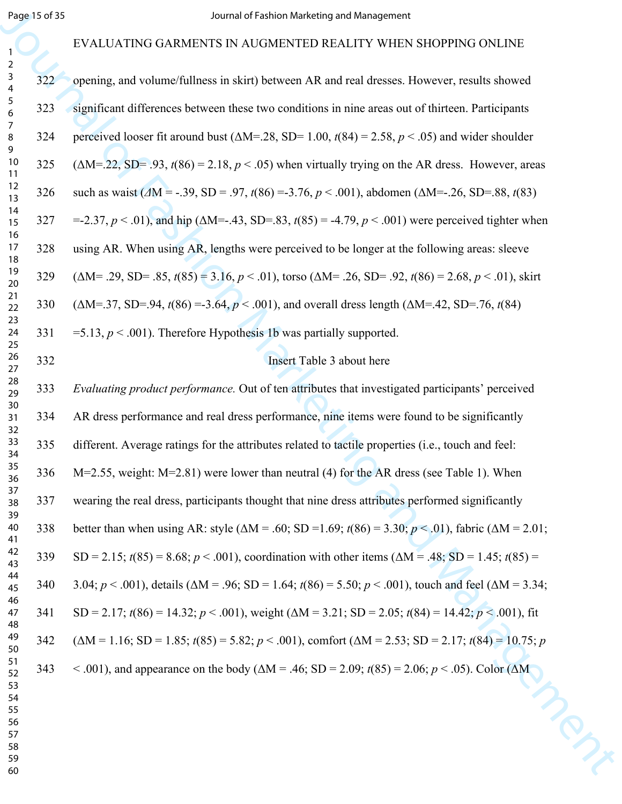# EVALUATING GARMENTS IN AUGMENTED REALITY WHEN SHOPPING ONLINE

|                                                           | Page 15 of 35 | Journal of Fashion Marketing and Management                                                                                     |
|-----------------------------------------------------------|---------------|---------------------------------------------------------------------------------------------------------------------------------|
| 1                                                         |               | EVALUATING GARMENTS IN AUGMENTED REALITY WHEN SHOPPING ONLINE                                                                   |
| $\overline{2}$<br>$\mathsf{3}$<br>$\overline{\mathbf{4}}$ | 322           | opening, and volume/fullness in skirt) between AR and real dresses. However, results showed                                     |
| $\sqrt{5}$<br>6                                           | 323           | significant differences between these two conditions in nine areas out of thirteen. Participants                                |
| $\overline{7}$<br>8<br>9                                  | 324           | perceived looser fit around bust ( $\Delta M = 28$ , SD= 1.00, $t(84) = 2.58$ , $p < .05$ ) and wider shoulder                  |
| 10<br>11                                                  | 325           | $(\Delta M = 22, SD = 0.93, t(86) = 2.18, p < 0.05)$ when virtually trying on the AR dress. However, areas                      |
| 12<br>13                                                  | 326           | such as waist ( $\Delta M = -0.39$ , SD = .97, t(86) = -3.76, p < .001), abdomen ( $\Delta M = -0.26$ , SD=.88, t(83)           |
| 14<br>15                                                  | 327           | =-2.37, $p < .01$ ), and hip ( $\Delta M = .43$ , SD=.83, $t(85) = .4.79$ , $p < .001$ ) were perceived tighter when            |
| 16<br>17<br>18                                            | 328           | using AR. When using AR, lengths were perceived to be longer at the following areas: sleeve                                     |
| 19<br>20                                                  | 329           | $(\Delta M = .29, SD = .85, t(85) = 3.16, p < .01)$ , torso $(\Delta M = .26, SD = .92, t(86) = 2.68, p < .01)$ , skirt         |
| 21<br>22                                                  | 330           | $(\Delta M = 37, SD = 94, t(86) = 3.64, p < .001)$ , and overall dress length $(\Delta M = 42, SD = .76, t(84))$                |
| 23<br>24<br>25                                            | 331           | =5.13, $p < .001$ ). Therefore Hypothesis 1b was partially supported.                                                           |
| $26\,$<br>27                                              | 332           | Insert Table 3 about here                                                                                                       |
| 28<br>29                                                  | 333           | Evaluating product performance. Out of ten attributes that investigated participants' perceived                                 |
| 30<br>31<br>32                                            | 334           | AR dress performance and real dress performance, nine items were found to be significantly                                      |
| 33<br>34                                                  | 335           | different. Average ratings for the attributes related to tactile properties (i.e., touch and feel:                              |
| 35<br>36                                                  | 336           | M=2.55, weight: M=2.81) were lower than neutral (4) for the AR dress (see Table 1). When                                        |
| 37<br>38<br>39                                            | 337           | wearing the real dress, participants thought that nine dress attributes performed significantly                                 |
| 40<br>41                                                  | 338           | better than when using AR: style ( $\Delta M = .60$ ; SD = 1.69; $t(86) = 3.30$ ; $p < .01$ ), fabric ( $\Delta M = 2.01$ ;     |
| 42<br>43                                                  | 339           | SD = 2.15; $t(85) = 8.68$ ; $p < .001$ ), coordination with other items ( $\Delta M = .48$ ; SD = 1.45; $t(85) =$               |
| 44<br>45                                                  | 340           | 3.04; $p < .001$ ), details ( $\Delta M = .96$ ; SD = 1.64; $t(86) = 5.50$ ; $p < .001$ ), touch and feel ( $\Delta M = 3.34$ ; |
| 46<br>47<br>48                                            | 341           | SD = 2.17; $t(86) = 14.32$ ; $p < .001$ ), weight ( $\Delta M = 3.21$ ; SD = 2.05; $t(84) = 14.42$ ; $p < .001$ ), fit          |
| 49<br>50                                                  | 342           | $(\Delta M = 1.16; SD = 1.85; t(85) = 5.82; p < .001)$ , comfort $(\Delta M = 2.53; SD = 2.17; t(84) = 10.75; p$                |
| 51<br>52                                                  | 343           | < .001), and appearance on the body ( $\Delta M = .46$ ; SD = 2.09; $t(85) = 2.06$ ; $p < .05$ ). Color ( $\Delta M$            |
| 53<br>54<br>55                                            |               |                                                                                                                                 |
| 56<br>57                                                  |               |                                                                                                                                 |
| 58<br>59                                                  |               |                                                                                                                                 |
| 60                                                        |               |                                                                                                                                 |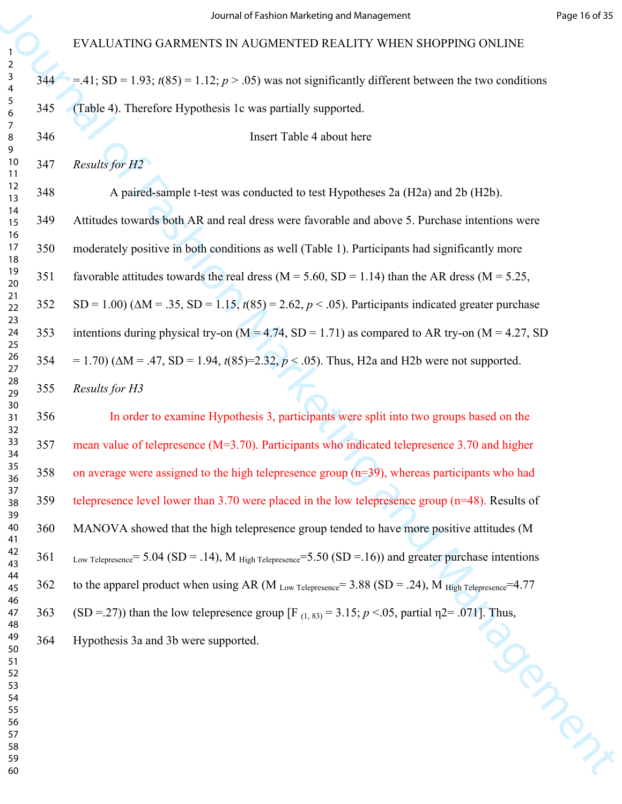|     | 344 = .41; SD = 1.93; $t(85)$ = 1.12; $p > .05$ ) was not significantly different between the two conditions |
|-----|--------------------------------------------------------------------------------------------------------------|
| 345 | (Table 4). Therefore Hypothesis 1c was partially supported.                                                  |

Insert Table 4 about here

*Results for H2*

348 A paired-sample t-test was conducted to test Hypotheses 2a (H2a) and 2b (H2b). 349 Attitudes towards both AR and real dress were favorable and above 5. Purchase intentions were 350 moderately positive in both conditions as well (Table 1). Participants had significantly more 351 favorable attitudes towards the real dress  $(M = 5.60, SD = 1.14)$  than the AR dress  $(M = 5.25,$ 352 SD = 1.00) (∆M = .35, SD = 1.15, *t*(85) = 2.62, *p* < .05). Participants indicated greater purchase 353 intentions during physical try-on  $(M = 4.74, SD = 1.71)$  as compared to AR try-on  $(M = 4.27, SD)$  $354 = 1.70$ ) ( $\Delta M = .47$ ,  $SD = 1.94$ ,  $t(85)=2.32$ ,  $p < .05$ ). Thus, H2a and H2b were not supported.

*Results for H3*

For EVALUATENG GARMENTS IN ALVOAMERT STATISTY WHERE SHOPPING ONLINE<br>
Year = -41, SO = -19.1, 4053 = 11/2, p.s. 5 % (so more algorithm) different interest the two conditions<br>  $\frac{1}{2}$  = -44 = -41, SO = -19.1, 4053 = 11/2, In order to examine Hypothesis 3, participants were split into two groups based on the mean value of telepresence (M=3.70). Participants who indicated telepresence 3.70 and higher on average were assigned to the high telepresence group (n=39), whereas participants who had telepresence level lower than 3.70 were placed in the low telepresence group (n=48). Results of 360 MANOVA showed that the high telepresence group tended to have more positive attitudes (M 361 Low Telepresence= 5.04 (SD = .14), M  $_{High}$  Telepresence= 5.50 (SD = .16)) and greater purchase intentions 362 to the apparel product when using AR (M Low Telepresence= 3.88 (SD = .24), M High Telepresence= 4.77 363 (SD =.27)) than the low telepresence group [F (1, 83) = 3.15; *p* <.05, partial η2= .071]. Thus,<br>Hypothesis 3a and 3b were supported.

364 Hypothesis 3a and 3b were supported.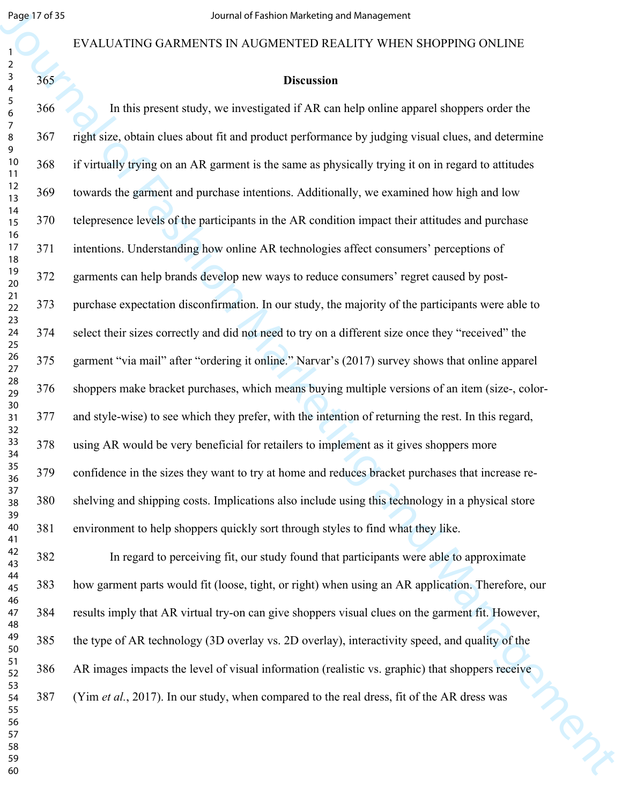#### EVALUATING GARMENTS IN AUGMENTED REALITY WHEN SHOPPING ONLINE

| 2                                |  |
|----------------------------------|--|
|                                  |  |
| 3                                |  |
| 4                                |  |
| 5                                |  |
|                                  |  |
| 6                                |  |
|                                  |  |
| 8                                |  |
|                                  |  |
| 9                                |  |
| 10                               |  |
| $\mathbf{1}$<br>1                |  |
|                                  |  |
| 1.<br>$\overline{2}$             |  |
| 13                               |  |
|                                  |  |
| 14                               |  |
| 15                               |  |
| 16                               |  |
|                                  |  |
| 1                                |  |
| 18                               |  |
| 19                               |  |
|                                  |  |
| 20                               |  |
| $\overline{21}$                  |  |
| $\overline{2}$<br>$\overline{2}$ |  |
|                                  |  |
| 23                               |  |
| 24                               |  |
| 25                               |  |
|                                  |  |
| 26                               |  |
| 27                               |  |
| 28                               |  |
|                                  |  |
| 29                               |  |
| 30                               |  |
| 31                               |  |
|                                  |  |
| 3<br>$\overline{2}$              |  |
| 33                               |  |
| 34                               |  |
|                                  |  |
| 35                               |  |
| 36                               |  |
| 37                               |  |
|                                  |  |
| 38                               |  |
| $\overline{\mathbf{3}}$<br>J     |  |
| 40                               |  |
|                                  |  |
| 41                               |  |
| 42                               |  |
| 43                               |  |
|                                  |  |
| 44                               |  |
| 45                               |  |
| 46                               |  |
|                                  |  |
| $\overline{4}$                   |  |
| 48                               |  |
| 49                               |  |
|                                  |  |
| 50                               |  |
| 51                               |  |
| 5.<br>フ                          |  |
|                                  |  |
| 53                               |  |
| 54                               |  |
| 55                               |  |
|                                  |  |
| 56                               |  |
| $\overline{5}$                   |  |
| 58                               |  |
|                                  |  |
| 59                               |  |
| 60                               |  |
|                                  |  |

#### **Discussion**

Begave of B S<br>
EVALUATING GARMENTS IN AUGAREMENT SURFAINS WELFORT WHEN SHOPPING ONLINE<br>
EVALUATING GARMENTS IN AUGAREMENT SURFAINS WELFORT MEAN ONE ONLY A<br>
1968 Marketing and Archivesis of Fashion Marketing and Management 366 In this present study, we investigated if AR can help online apparel shoppers order the 367 right size, obtain clues about fit and product performance by judging visual clues, and determine 368 if virtually trying on an AR garment is the same as physically trying it on in regard to attitudes 369 towards the garment and purchase intentions. Additionally, we examined how high and low 370 telepresence levels of the participants in the AR condition impact their attitudes and purchase 371 intentions. Understanding how online AR technologies affect consumers' perceptions of 372 garments can help brands develop new ways to reduce consumers' regret caused by post-373 purchase expectation disconfirmation. In our study, the majority of the participants were able to 374 select their sizes correctly and did not need to try on a different size once they "received" the 375 garment "via mail" after "ordering it online." Narvar's (2017) survey shows that online apparel 376 shoppers make bracket purchases, which means buying multiple versions of an item (size-, color-377 and style-wise) to see which they prefer, with the intention of returning the rest. In this regard, 378 using AR would be very beneficial for retailers to implement as it gives shoppers more 379 confidence in the sizes they want to try at home and reduces bracket purchases that increase re-380 shelving and shipping costs. Implications also include using this technology in a physical store 381 environment to help shoppers quickly sort through styles to find what they like.

382 In regard to perceiving fit, our study found that participants were able to approximate 383 how garment parts would fit (loose, tight, or right) when using an AR application. Therefore, our 384 results imply that AR virtual try-on can give shoppers visual clues on the garment fit. However, 385 the type of AR technology (3D overlay vs. 2D overlay), interactivity speed, and quality of the 386 AR images impacts the level of visual information (realistic vs. graphic) that shoppers receive 387 (Yim *et al.*, 2017). In our study, when compared to the real dress, fit of the AR dress was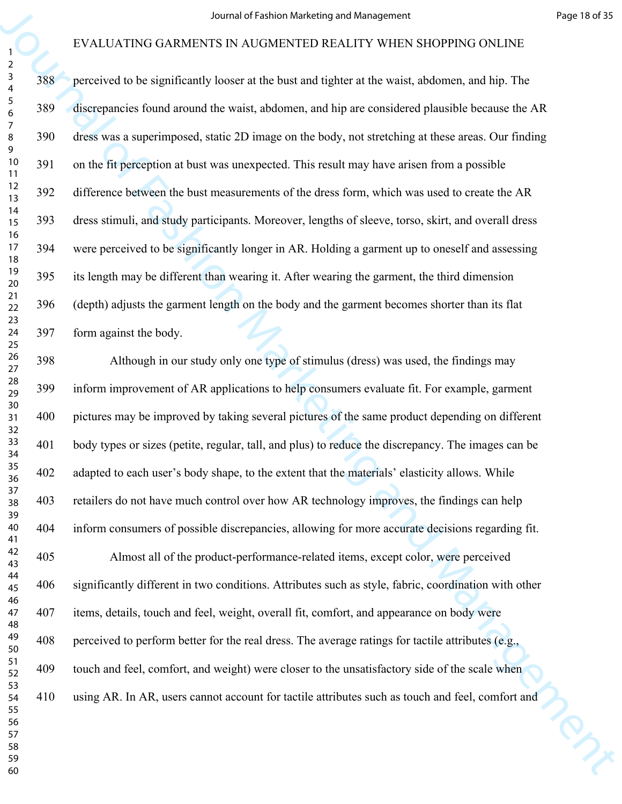For EVALUATEND GARMENTS IN NATIONAL INTERFERITS AND EXPRESS THE VEH AND THE SECTION TO SECTION THE SECTION ON THE SECTION OF THE SECTION OF THE SECTION OF THE SECTION OF THE SECTION OF THE SECTION OF A discussion of Fashi 388 perceived to be significantly looser at the bust and tighter at the waist, abdomen, and hip. The 389 discrepancies found around the waist, abdomen, and hip are considered plausible because the AR 390 dress was a superimposed, static 2D image on the body, not stretching at these areas. Our finding 391 on the fit perception at bust was unexpected. This result may have arisen from a possible 392 difference between the bust measurements of the dress form, which was used to create the AR 393 dress stimuli, and study participants. Moreover, lengths of sleeve, torso, skirt, and overall dress 394 were perceived to be significantly longer in AR. Holding a garment up to oneself and assessing 395 its length may be different than wearing it. After wearing the garment, the third dimension 396 (depth) adjusts the garment length on the body and the garment becomes shorter than its flat 397 form against the body.

398 Although in our study only one type of stimulus (dress) was used, the findings may 399 inform improvement of AR applications to help consumers evaluate fit. For example, garment 400 pictures may be improved by taking several pictures of the same product depending on different 401 body types or sizes (petite, regular, tall, and plus) to reduce the discrepancy. The images can be 402 adapted to each user's body shape, to the extent that the materials' elasticity allows. While 403 retailers do not have much control over how AR technology improves, the findings can help 404 inform consumers of possible discrepancies, allowing for more accurate decisions regarding fit.

405 Almost all of the product-performance-related items, except color, were perceived 406 significantly different in two conditions. Attributes such as style, fabric, coordination with other 407 items, details, touch and feel, weight, overall fit, comfort, and appearance on body were 408 perceived to perform better for the real dress. The average ratings for tactile attributes (e.g., 409 touch and feel, comfort, and weight) were closer to the unsatisfactory side of the scale when 410 using AR. In AR, users cannot account for tactile attributes such as touch and feel, comfort and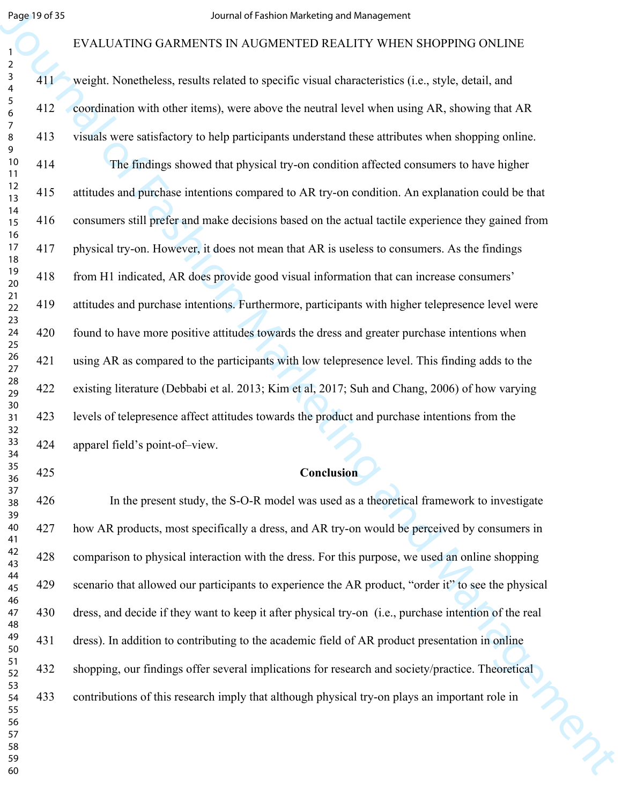#### EVALUATING GARMENTS IN AUGMENTED REALITY WHEN SHOPPING ONLINE

|                                                           | Page 19 of 35 | Journal of Fashion Marketing and Management                                                           |
|-----------------------------------------------------------|---------------|-------------------------------------------------------------------------------------------------------|
|                                                           |               | EVALUATING GARMENTS IN AUGMENTED REALITY WHEN SHOPPING ONLINE                                         |
| $\overline{a}$<br>$\mathbf{3}$<br>$\overline{\mathbf{4}}$ | 411           | weight. Nonetheless, results related to specific visual characteristics (i.e., style, detail, and     |
| $\sqrt{5}$<br>6                                           | 412           | coordination with other items), were above the neutral level when using AR, showing that AR           |
| $\overline{7}$<br>8<br>9                                  | 413           | visuals were satisfactory to help participants understand these attributes when shopping online.      |
| 10<br>11                                                  | 414           | The findings showed that physical try-on condition affected consumers to have higher                  |
| 12<br>13                                                  | 415           | attitudes and purchase intentions compared to AR try-on condition. An explanation could be that       |
| 14<br>15<br>16                                            | 416           | consumers still prefer and make decisions based on the actual tactile experience they gained from     |
| 17<br>18                                                  | 417           | physical try-on. However, it does not mean that AR is useless to consumers. As the findings           |
| 19<br>20                                                  | 418           | from H1 indicated, AR does provide good visual information that can increase consumers'               |
| 21<br>22<br>23                                            | 419           | attitudes and purchase intentions. Furthermore, participants with higher telepresence level were      |
| 24<br>25                                                  | 420           | found to have more positive attitudes towards the dress and greater purchase intentions when          |
| $26\,$<br>27                                              | 421           | using AR as compared to the participants with low telepresence level. This finding adds to the        |
| 28<br>29                                                  | 422           | existing literature (Debbabi et al. 2013; Kim et al, 2017; Suh and Chang, 2006) of how varying        |
| 30<br>31<br>32                                            | 423           | levels of telepresence affect attitudes towards the product and purchase intentions from the          |
| 33<br>34                                                  | 424           | apparel field's point-of-view.                                                                        |
| 35<br>36                                                  | 425           | Conclusion                                                                                            |
| 37<br>38<br>39                                            | 426           | In the present study, the S-O-R model was used as a theoretical framework to investigate              |
| 40<br>41                                                  | 427           | how AR products, most specifically a dress, and AR try-on would be perceived by consumers in          |
| 42<br>43                                                  | 428           | comparison to physical interaction with the dress. For this purpose, we used an online shopping       |
| 44<br>45<br>46                                            | 429           | scenario that allowed our participants to experience the AR product, "order it" to see the physical   |
| 47<br>48                                                  | 430           | dress, and decide if they want to keep it after physical try-on (i.e., purchase intention of the real |
| 49<br>50                                                  | 431           | dress). In addition to contributing to the academic field of AR product presentation in online        |
| 51<br>52                                                  | 432           | shopping, our findings offer several implications for research and society/practice. Theoretical      |
| 53<br>54<br>55                                            | 433           | contributions of this research imply that although physical try-on plays an important role in         |
| 56<br>57                                                  |               |                                                                                                       |
| 58<br>59<br>60                                            |               |                                                                                                       |
|                                                           |               |                                                                                                       |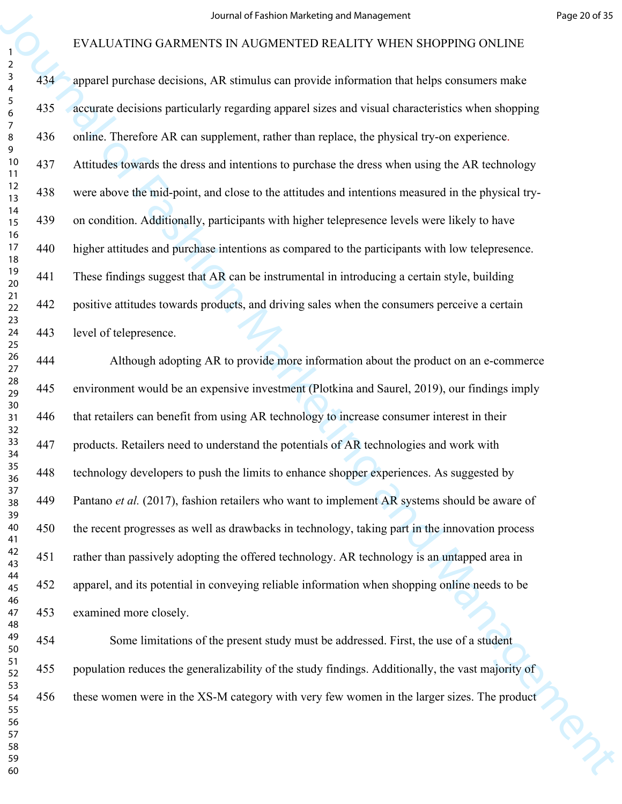|                                     |     | Journal of Fashion Marketing and Management                                                       | Page 20 of 35 |
|-------------------------------------|-----|---------------------------------------------------------------------------------------------------|---------------|
|                                     |     | EVALUATING GARMENTS IN AUGMENTED REALITY WHEN SHOPPING ONLINE                                     |               |
| $\overline{a}$<br>$\mathbf{3}$<br>4 | 434 | apparel purchase decisions, AR stimulus can provide information that helps consumers make         |               |
| $\sqrt{5}$<br>6                     | 435 | accurate decisions particularly regarding apparel sizes and visual characteristics when shopping  |               |
| $\overline{7}$<br>8<br>9            | 436 | online. Therefore AR can supplement, rather than replace, the physical try-on experience.         |               |
| 10<br>11                            | 437 | Attitudes towards the dress and intentions to purchase the dress when using the AR technology     |               |
| 12<br>13                            | 438 | were above the mid-point, and close to the attitudes and intentions measured in the physical try- |               |
| 14<br>15                            | 439 | on condition. Additionally, participants with higher telepresence levels were likely to have      |               |
| 16<br>17<br>18                      | 440 | higher attitudes and purchase intentions as compared to the participants with low telepresence.   |               |
| 19<br>$20\,$                        | 441 | These findings suggest that AR can be instrumental in introducing a certain style, building       |               |
| 21<br>22                            | 442 | positive attitudes towards products, and driving sales when the consumers perceive a certain      |               |
| 23<br>24<br>25                      | 443 | level of telepresence.                                                                            |               |
| 26<br>27                            | 444 | Although adopting AR to provide more information about the product on an e-commerce               |               |
| 28<br>29                            | 445 | environment would be an expensive investment (Plotkina and Saurel, 2019), our findings imply      |               |
| 30<br>31<br>32                      | 446 | that retailers can benefit from using AR technology to increase consumer interest in their        |               |
| 33<br>34                            | 447 | products. Retailers need to understand the potentials of AR technologies and work with            |               |
| 35<br>36                            | 448 | technology developers to push the limits to enhance shopper experiences. As suggested by          |               |
| 37<br>38<br>39                      | 449 | Pantano et al. (2017), fashion retailers who want to implement AR systems should be aware of      |               |
| 40<br>41                            | 450 | the recent progresses as well as drawbacks in technology, taking part in the innovation process   |               |
| 42<br>43                            | 451 | rather than passively adopting the offered technology. AR technology is an untapped area in       |               |
| 44<br>45                            | 452 | apparel, and its potential in conveying reliable information when shopping online needs to be     |               |
| 46<br>47<br>48                      | 453 | examined more closely.                                                                            |               |
| 49<br>50                            | 454 | Some limitations of the present study must be addressed. First, the use of a student              |               |
| 51<br>52                            | 455 | population reduces the generalizability of the study findings. Additionally, the vast majority of |               |
| 53<br>54<br>55                      | 456 | these women were in the XS-M category with very few women in the larger sizes. The product        |               |
| 56<br>57                            |     |                                                                                                   |               |
| 58<br>59                            |     |                                                                                                   |               |
| 60                                  |     |                                                                                                   |               |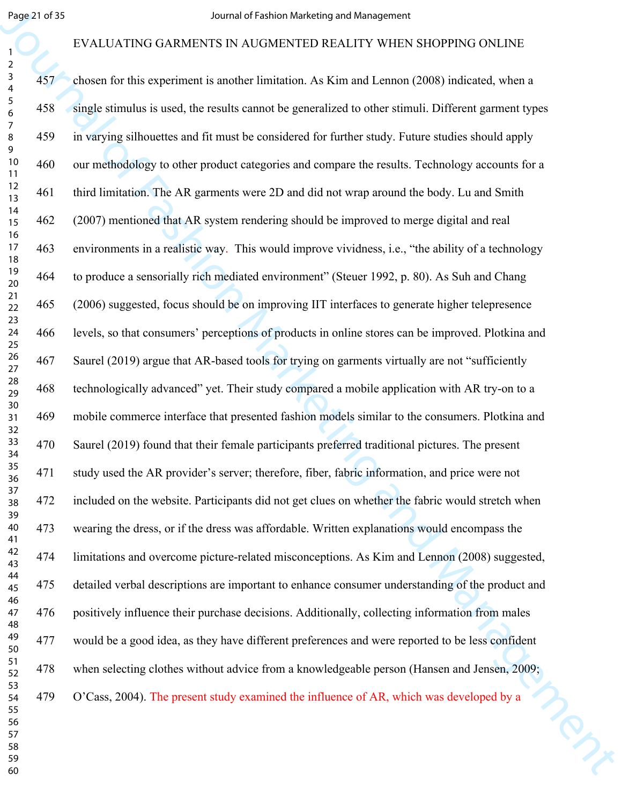#### EVALUATING GARMENTS IN AUGMENTED REALITY WHEN SHOPPING ONLINE

|                                     | Page 21 of 35 | Journal of Fashion Marketing and Management                                                          |
|-------------------------------------|---------------|------------------------------------------------------------------------------------------------------|
|                                     |               | EVALUATING GARMENTS IN AUGMENTED REALITY WHEN SHOPPING ONLINE                                        |
| $\overline{a}$<br>$\mathbf{3}$<br>4 | 457           | chosen for this experiment is another limitation. As Kim and Lennon (2008) indicated, when a         |
| $\sqrt{5}$<br>6                     | 458           | single stimulus is used, the results cannot be generalized to other stimuli. Different garment types |
| $\overline{7}$<br>8<br>9            | 459           | in varying silhouettes and fit must be considered for further study. Future studies should apply     |
| 10<br>11                            | 460           | our methodology to other product categories and compare the results. Technology accounts for a       |
| 12<br>13                            | 461           | third limitation. The AR garments were 2D and did not wrap around the body. Lu and Smith             |
| 14<br>15                            | 462           | (2007) mentioned that AR system rendering should be improved to merge digital and real               |
| 16<br>17<br>18                      | 463           | environments in a realistic way. This would improve vividness, i.e., "the ability of a technology    |
| 19<br>$20\,$                        | 464           | to produce a sensorially rich mediated environment" (Steuer 1992, p. 80). As Suh and Chang           |
| 21<br>22                            | 465           | (2006) suggested, focus should be on improving IIT interfaces to generate higher telepresence        |
| 23<br>24<br>25                      | 466           | levels, so that consumers' perceptions of products in online stores can be improved. Plotkina and    |
| $26\,$<br>27                        | 467           | Saurel (2019) argue that AR-based tools for trying on garments virtually are not "sufficiently       |
| 28<br>29                            | 468           | technologically advanced" yet. Their study compared a mobile application with AR try-on to a         |
| 30<br>31<br>32                      | 469           | mobile commerce interface that presented fashion models similar to the consumers. Plotkina and       |
| 33<br>34                            | 470           | Saurel (2019) found that their female participants preferred traditional pictures. The present       |
| 35<br>36                            | 471           | study used the AR provider's server; therefore, fiber, fabric information, and price were not        |
| 37<br>38                            | 472           | included on the website. Participants did not get clues on whether the fabric would stretch when     |
| 39<br>40<br>41                      | 473           | wearing the dress, or if the dress was affordable. Written explanations would encompass the          |
| 42<br>43                            | 474           | limitations and overcome picture-related misconceptions. As Kim and Lennon (2008) suggested,         |
| 44<br>45                            | 475           | detailed verbal descriptions are important to enhance consumer understanding of the product and      |
| 46<br>47<br>48                      | 476           | positively influence their purchase decisions. Additionally, collecting information from males       |
| 49<br>50                            | 477           | would be a good idea, as they have different preferences and were reported to be less confident      |
| 51<br>52                            | 478           | when selecting clothes without advice from a knowledgeable person (Hansen and Jensen, 2009;          |
| 53<br>54<br>55                      | 479           | O'Cass, 2004). The present study examined the influence of AR, which was developed by a              |
| 56<br>57                            |               |                                                                                                      |
| 58<br>59                            |               |                                                                                                      |
| 60                                  |               |                                                                                                      |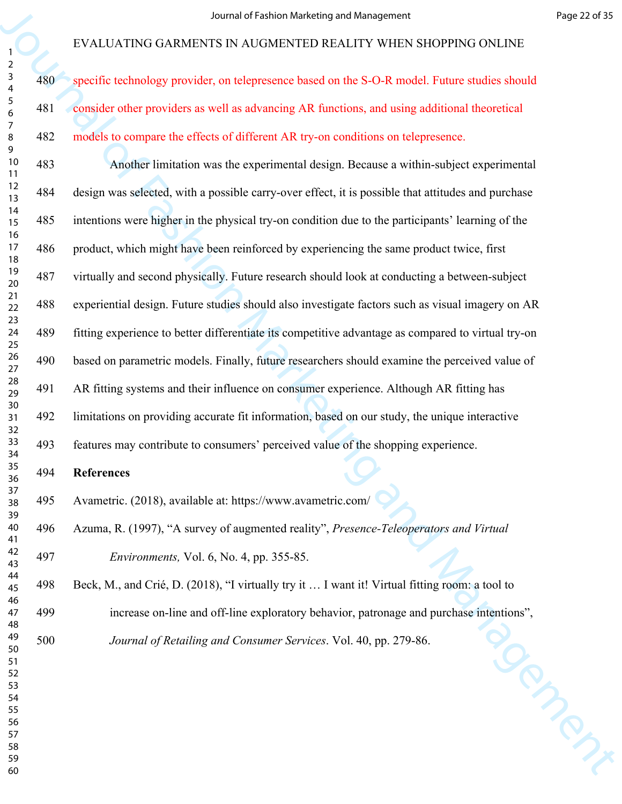specific technology provider, on telepresence based on the S-O-R model. Future studies should consider other providers as well as advancing AR functions, and using additional theoretical models to compare the effects of different AR try-on conditions on telepresence.

For EVALUATENG GARMerican end Management<br>
Französische Schwarter (\* 1986)<br>
1992 - Application Marketting Schwarter Excelses (\* 1987)<br>
1993 - Application Marketting and Management Inner Control Marketting Astronometric<br>
19 483 Another limitation was the experimental design. Because a within-subject experimental 484 design was selected, with a possible carry-over effect, it is possible that attitudes and purchase 485 intentions were higher in the physical try-on condition due to the participants' learning of the 486 product, which might have been reinforced by experiencing the same product twice, first 487 virtually and second physically. Future research should look at conducting a between-subject 488 experiential design. Future studies should also investigate factors such as visual imagery on AR 489 fitting experience to better differentiate its competitive advantage as compared to virtual try-on 490 based on parametric models. Finally, future researchers should examine the perceived value of 491 AR fitting systems and their influence on consumer experience. Although AR fitting has 492 limitations on providing accurate fit information, based on our study, the unique interactive 493 features may contribute to consumers' perceived value of the shopping experience. **References**

495 Avametric. (2018), available at: https://www.avametric.com/

496 Azuma, R. (1997), "A survey of augmented reality", *Presence-Teleoperators and Virtual Environments,* Vol. 6, No. 4, pp. 355-85.

498 Beck, M., and Crié, D. (2018), "I virtually try it … I want it! Virtual fitting room: a tool to

- 499 increase on-line and off-line exploratory behavior, patronage and purchase intentions",<br> *Journal of Retailing and Consumer Services*. Vol. 40, pp. 279-86.
	- *Journal of Retailing and Consumer Services*. Vol. 40, pp. 279-86.
-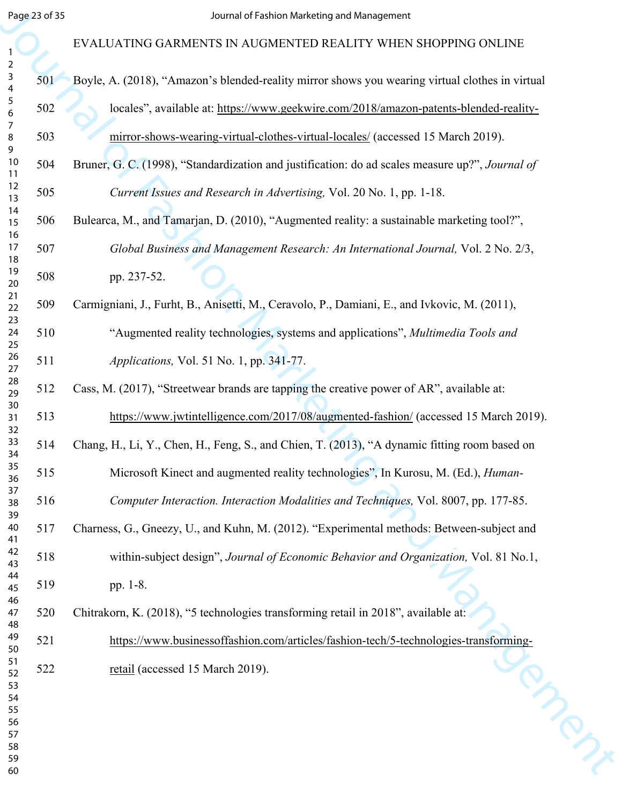|                                                           | Page 23 of 35 | Journal of Fashion Marketing and Management                                                     |
|-----------------------------------------------------------|---------------|-------------------------------------------------------------------------------------------------|
|                                                           |               | EVALUATING GARMENTS IN AUGMENTED REALITY WHEN SHOPPING ONLINE                                   |
| $\overline{a}$<br>$\mathbf{3}$<br>$\overline{\mathbf{4}}$ | 501           | Boyle, A. (2018), "Amazon's blended-reality mirror shows you wearing virtual clothes in virtual |
| $\sqrt{5}$<br>6                                           | 502           | locales", available at: https://www.geekwire.com/2018/amazon-patents-blended-reality-           |
| $\overline{7}$<br>8<br>9                                  | 503           | mirror-shows-wearing-virtual-clothes-virtual-locales/ (accessed 15 March 2019).                 |
| 10<br>11                                                  | 504           | Bruner, G. C. (1998), "Standardization and justification: do ad scales measure up?", Journal of |
| 12<br>13                                                  | 505           | Current Issues and Research in Advertising, Vol. 20 No. 1, pp. 1-18.                            |
| 14<br>15                                                  | 506           | Bulearca, M., and Tamarjan, D. (2010), "Augmented reality: a sustainable marketing tool?",      |
| 16<br>17<br>18                                            | 507           | Global Business and Management Research: An International Journal, Vol. 2 No. 2/3,              |
| 19<br>20                                                  | 508           | pp. 237-52.                                                                                     |
| 21<br>22                                                  | 509           | Carmigniani, J., Furht, B., Anisetti, M., Ceravolo, P., Damiani, E., and Ivkovic, M. (2011),    |
| 23<br>24<br>25                                            | 510           | "Augmented reality technologies, systems and applications", Multimedia Tools and                |
| $26\,$<br>27                                              | 511           | <i>Applications, Vol. 51 No. 1, pp. 341-77.</i>                                                 |
| 28<br>29                                                  | 512           | Cass, M. (2017), "Streetwear brands are tapping the creative power of AR", available at:        |
| 30<br>31<br>32                                            | 513           | https://www.jwtintelligence.com/2017/08/augmented-fashion/ (accessed 15 March 2019).            |
| 33<br>34                                                  | 514           | Chang, H., Li, Y., Chen, H., Feng, S., and Chien, T. (2013), "A dynamic fitting room based on   |
| 35<br>36                                                  | 515           | Microsoft Kinect and augmented reality technologies", In Kurosu, M. (Ed.), Human-               |
| 37<br>38<br>39                                            | 516           | Computer Interaction. Interaction Modalities and Techniques, Vol. 8007, pp. 177-85.             |
| 40<br>41                                                  | 517           | Charness, G., Gneezy, U., and Kuhn, M. (2012). "Experimental methods: Between-subject and       |
| 42<br>43                                                  | 518           | within-subject design", Journal of Economic Behavior and Organization, Vol. 81 No.1,            |
| 44<br>45<br>46                                            | 519           | pp. 1-8.                                                                                        |
| 47<br>48                                                  | 520           | Chitrakorn, K. (2018), "5 technologies transforming retail in 2018", available at:              |
| 49<br>50                                                  | 521           | https://www.businessoffashion.com/articles/fashion-tech/5-technologies-transforming-            |
| 51<br>52                                                  | 522           | retail (accessed 15 March 2019).                                                                |
| 53<br>54<br>55                                            |               |                                                                                                 |
| 56<br>57                                                  |               |                                                                                                 |
| 58<br>59                                                  |               |                                                                                                 |
| 60                                                        |               |                                                                                                 |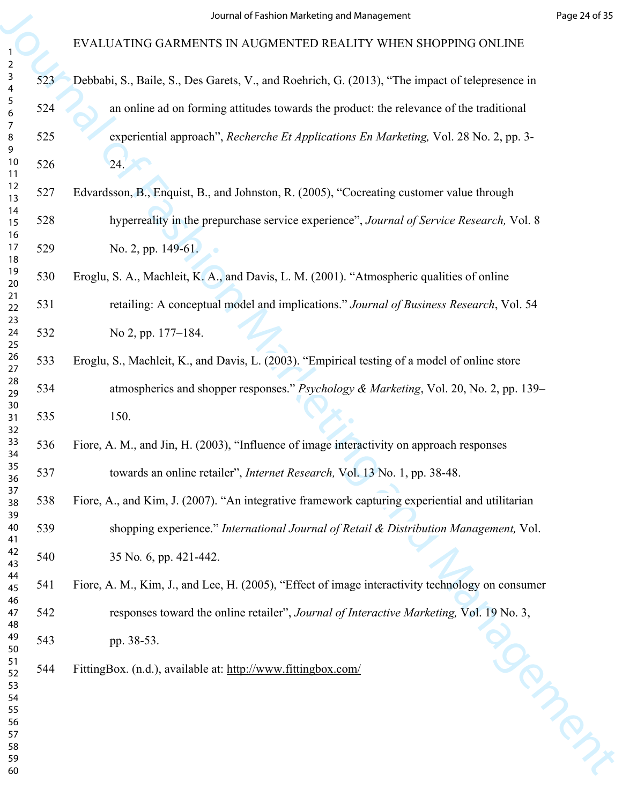|                                     |     | Journal of Fashion Marketing and Management                                                      | Page 24 of 35 |
|-------------------------------------|-----|--------------------------------------------------------------------------------------------------|---------------|
|                                     |     | EVALUATING GARMENTS IN AUGMENTED REALITY WHEN SHOPPING ONLINE                                    |               |
| $\overline{2}$<br>$\mathbf{3}$<br>4 | 523 | Debbabi, S., Baile, S., Des Garets, V., and Roehrich, G. (2013), "The impact of telepresence in  |               |
| $\sqrt{5}$<br>6                     | 524 | an online ad on forming attitudes towards the product: the relevance of the traditional          |               |
| $\overline{7}$<br>8                 | 525 | experiential approach", Recherche Et Applications En Marketing, Vol. 28 No. 2, pp. 3-            |               |
| 9<br>10<br>11                       | 526 | 24.                                                                                              |               |
| 12<br>13                            | 527 | Edvardsson, B., Enquist, B., and Johnston, R. (2005), "Cocreating customer value through         |               |
| 14<br>15                            | 528 | hyperreality in the prepurchase service experience", Journal of Service Research, Vol. 8         |               |
| 16<br>17<br>18                      | 529 | No. 2, pp. 149-61.                                                                               |               |
| 19<br>20                            | 530 | Eroglu, S. A., Machleit, K. A., and Davis, L. M. (2001). "Atmospheric qualities of online        |               |
| 21<br>22                            | 531 | retailing: A conceptual model and implications." Journal of Business Research, Vol. 54           |               |
| 23<br>24<br>25                      | 532 | No 2, pp. 177–184.                                                                               |               |
| 26<br>27                            | 533 | Eroglu, S., Machleit, K., and Davis, L. (2003). "Empirical testing of a model of online store    |               |
| 28<br>29                            | 534 | atmospherics and shopper responses." Psychology & Marketing, Vol. 20, No. 2, pp. 139–            |               |
| 30<br>31<br>32                      | 535 | 150.                                                                                             |               |
| 33<br>34                            | 536 | Fiore, A. M., and Jin, H. (2003), "Influence of image interactivity on approach responses        |               |
| 35<br>36                            | 537 | towards an online retailer", <i>Internet Research</i> , Vol. 13 No. 1, pp. 38-48.                |               |
| 37<br>38<br>39                      | 538 | Fiore, A., and Kim, J. (2007). "An integrative framework capturing experiential and utilitarian  |               |
| 40<br>41                            | 539 | shopping experience." International Journal of Retail & Distribution Management, Vol.            |               |
| 42<br>43                            | 540 | 35 No. 6, pp. 421-442.                                                                           |               |
| 44<br>45                            | 541 | Fiore, A. M., Kim, J., and Lee, H. (2005), "Effect of image interactivity technology on consumer |               |
| 46<br>47<br>48                      | 542 | responses toward the online retailer", Journal of Interactive Marketing, Vol. 19 No. 3,          |               |
| 49<br>50                            | 543 | pp. 38-53.                                                                                       |               |
| 51<br>52                            | 544 | FittingBox. (n.d.), available at: http://www.fittingbox.com/                                     |               |
| 53<br>54                            |     |                                                                                                  |               |
| 56<br>57                            |     |                                                                                                  |               |
| 58<br>59                            |     |                                                                                                  |               |
| 55<br>60                            |     |                                                                                                  | Noncial       |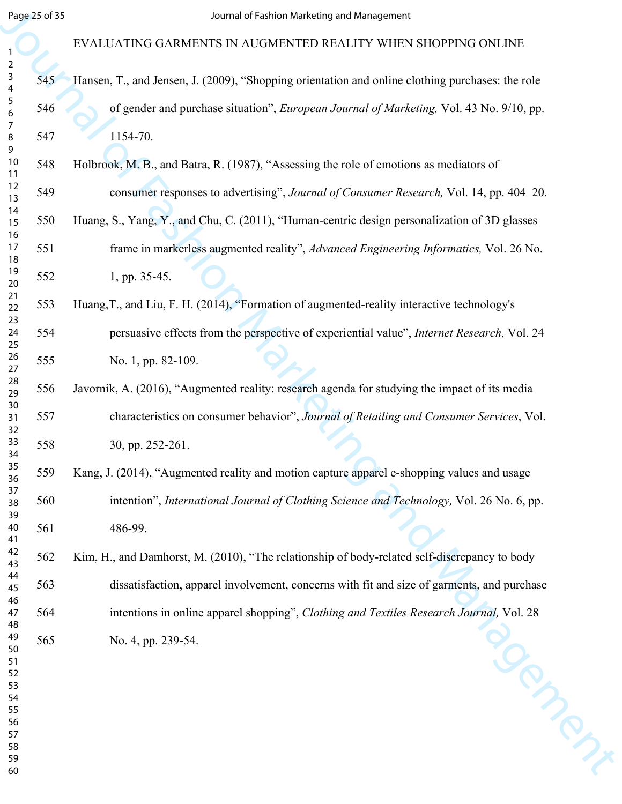# EVALUATING GARMENTS IN AUGMENTED REALITY WHEN SHOPPING ONLINE

- 545 Hansen, T., and Jensen, J. (2009), "Shopping orientation and online clothing purchases: the role 546 of gender and purchase situation", *European Journal of Marketing,* Vol. 43 No. 9/10, pp. 547 1154-70.
- 548 Holbrook, M. B., and Batra, R. (1987), "Assessing the role of emotions as mediators of 549 consumer responses to advertising", *Journal of Consumer Research,* Vol. 14, pp. 404–20.
- 550 Huang, S., Yang, Y., and Chu, C. (2011), "Human-centric design personalization of 3D glasses 551 frame in markerless augmented reality", *Advanced Engineering Informatics,* Vol. 26 No. 552 1, pp. 35-45.
- 553 Huang,T., and Liu, F. H. (2014), "Formation of augmented-reality interactive technology's
- 554 persuasive effects from the perspective of experiential value", *Internet Research,* Vol. 24 555 No. 1, pp. 82-109.
- 556 Javornik, A. (2016), "Augmented reality: research agenda for studying the impact of its media 557 characteristics on consumer behavior", *Journal of Retailing and Consumer Services*, Vol. 558 30, pp. 252-261.
- 559 Kang, J. (2014), "Augmented reality and motion capture apparel e-shopping values and usage 560 intention", *International Journal of Clothing Science and Technology,* Vol. 26 No. 6, pp. 561 486-99.
- Seguio di Statistical Context (Fabric Marketing and Management<br>
1968 EVALUATING GARMENTS IN AUGAINETED REALLY WHEN SOPPING ONLINE<br>
1968 Internet, T., and Jackbook (St. Boyanging amendation and online giathing partitio 562 Kim, H., and Damhorst, M. (2010), "The relationship of body-related self-discrepancy to body 563 dissatisfaction, apparel involvement, concerns with fit and size of garments, and purchase 564 intentions in online apparel shopping", *Clothing and Textiles Research Journal*, Vol. 28<br>No. 4, pp. 239-54. 565 No. 4, pp. 239-54.
- 

- 
- 
- 
-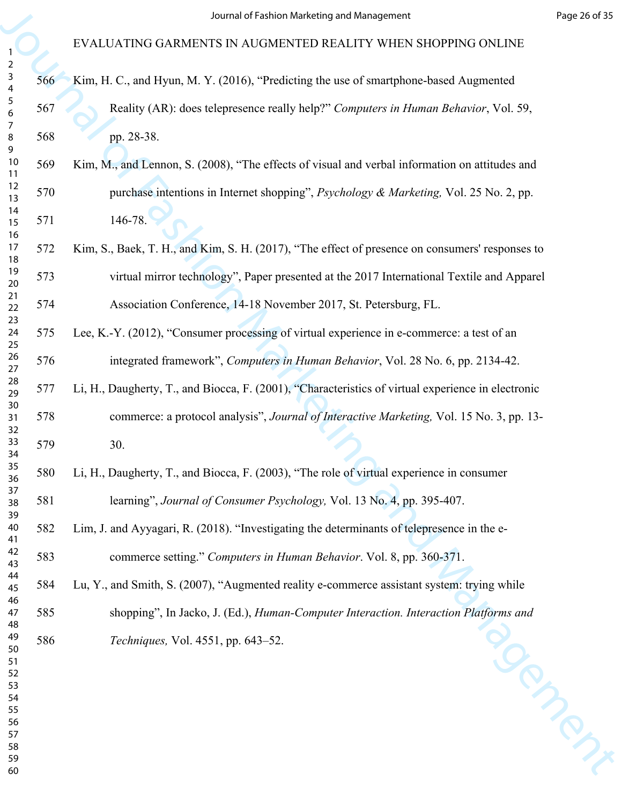# For EVALUATING GARMENTS IN AUGMENTED REAL TIT WHERE SIDE SPECIES AND FUNCTION ON LINE<br>
Section Marketing the section Management of Fashion Marketing the section Marketing Marketing Marketing Marketing Marketing Marketing EVALUATING GARMENTS IN AUGMENTED REALITY WHEN SHOPPING ONLINE 566 Kim, H. C., and Hyun, M. Y. (2016), "Predicting the use of smartphone-based Augmented 567 Reality (AR): does telepresence really help?" *Computers in Human Behavior*, Vol. 59, 568 pp. 28-38. 569 Kim, M., and Lennon, S. (2008), "The effects of visual and verbal information on attitudes and 570 purchase intentions in Internet shopping", *Psychology & Marketing,* Vol. 25 No. 2, pp. 571 146-78. 572 Kim, S., Baek, T. H., and Kim, S. H. (2017), "The effect of presence on consumers' responses to 573 virtual mirror technology", Paper presented at the 2017 International Textile and Apparel 574 Association Conference, 14-18 November 2017, St. Petersburg, FL. 575 Lee, K.-Y. (2012), "Consumer processing of virtual experience in e-commerce: a test of an 576 integrated framework", *Computers in Human Behavior*, Vol. 28 No. 6, pp. 2134-42. 577 Li, H., Daugherty, T., and Biocca, F. (2001), "Characteristics of virtual experience in electronic 578 commerce: a protocol analysis", *Journal of Interactive Marketing,* Vol. 15 No. 3, pp. 13- 579 30. 580 Li, H., Daugherty, T., and Biocca, F. (2003), "The role of virtual experience in consumer 581 learning", *Journal of Consumer Psychology,* Vol. 13 No. 4, pp. 395-407. 582 Lim, J. and Ayyagari, R. (2018). "Investigating the determinants of telepresence in the e-583 commerce setting." *Computers in Human Behavior*. Vol. 8, pp. 360-371. 584 Lu, Y., and Smith, S. (2007), "Augmented reality e-commerce assistant system: trying while 585 shopping", In Jacko, J. (Ed.), *Human-Computer Interaction. Interaction Platforms and*<br>586 Techniques, Vol. 4551, pp. 643–52. *Techniques,* Vol. 4551, pp. 643–52.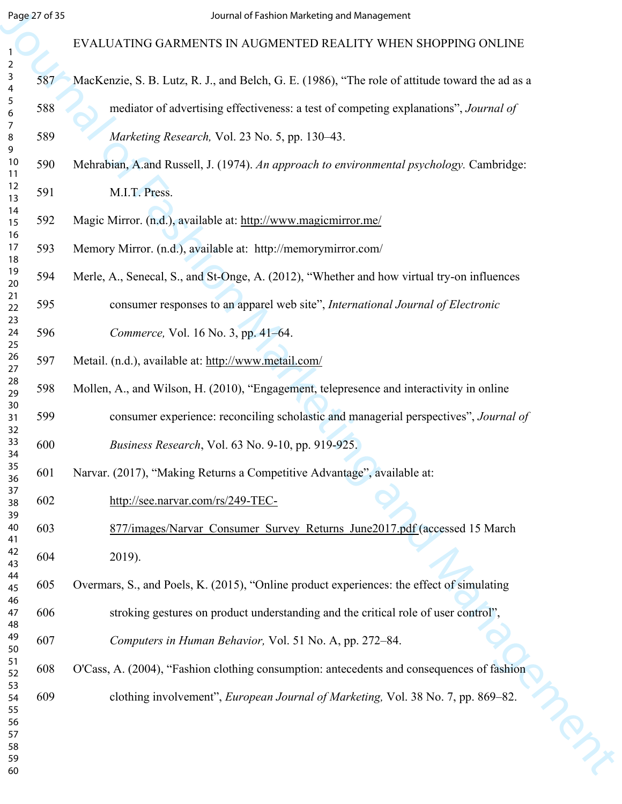|                                     | Page 27 of 35 | Journal of Fashion Marketing and Management                                                     |
|-------------------------------------|---------------|-------------------------------------------------------------------------------------------------|
|                                     |               | EVALUATING GARMENTS IN AUGMENTED REALITY WHEN SHOPPING ONLINE                                   |
| $\overline{a}$<br>$\mathbf{3}$<br>4 | 587           | MacKenzie, S. B. Lutz, R. J., and Belch, G. E. (1986), "The role of attitude toward the ad as a |
| $\sqrt{5}$<br>6                     | 588           | mediator of advertising effectiveness: a test of competing explanations", Journal of            |
| $\overline{7}$<br>8<br>9            | 589           | Marketing Research, Vol. 23 No. 5, pp. 130-43.                                                  |
| 10<br>11                            | 590           | Mehrabian, A.and Russell, J. (1974). An approach to environmental psychology. Cambridge:        |
| 12<br>13                            | 591           | M.I.T. Press.                                                                                   |
| 14<br>15                            | 592           | Magic Mirror. (n.d.), available at: http://www.magicmirror.me/                                  |
| 16<br>17<br>18                      | 593           | Memory Mirror. (n.d.), available at: http://memorymirror.com/                                   |
| 19<br>20                            | 594           | Merle, A., Senecal, S., and St-Onge, A. (2012), "Whether and how virtual try-on influences      |
| 21<br>22                            | 595           | consumer responses to an apparel web site", International Journal of Electronic                 |
| 23<br>24<br>25                      | 596           | Commerce, Vol. 16 No. 3, pp. 41-64.                                                             |
| $26\,$<br>27                        | 597           | Metail. (n.d.), available at: http://www.metail.com/                                            |
| 28<br>29                            | 598           | Mollen, A., and Wilson, H. (2010), "Engagement, telepresence and interactivity in online        |
| 30<br>31<br>32                      | 599           | consumer experience: reconciling scholastic and managerial perspectives", Journal of            |
| 33<br>34                            | 600           | <i>Business Research</i> , Vol. 63 No. 9-10, pp. 919-925.                                       |
| 35<br>36                            | 601           | Narvar. (2017), "Making Returns a Competitive Advantage", available at:                         |
| 37<br>38<br>39                      | 602           | http://see.narvar.com/rs/249-TEC-                                                               |
| 40<br>41                            | 603           | 877/images/Narvar Consumer Survey Returns June2017.pdf (accessed 15 March                       |
| 42<br>43                            | 604           | 2019).                                                                                          |
| 44<br>45<br>46                      | 605           | Overmars, S., and Poels, K. (2015), "Online product experiences: the effect of simulating       |
| 47<br>48                            | 606           | stroking gestures on product understanding and the critical role of user control",              |
| 49<br>50                            | 607           | Computers in Human Behavior, Vol. 51 No. A, pp. 272–84.                                         |
| 51<br>52                            | 608           | O'Cass, A. (2004), "Fashion clothing consumption: antecedents and consequences of fashion       |
| 53<br>54<br>55                      | 609           | clothing involvement", <i>European Journal of Marketing</i> , Vol. 38 No. 7, pp. 869–82.        |
| 56<br>57                            |               |                                                                                                 |
| 58<br>59                            |               |                                                                                                 |
| 60                                  |               |                                                                                                 |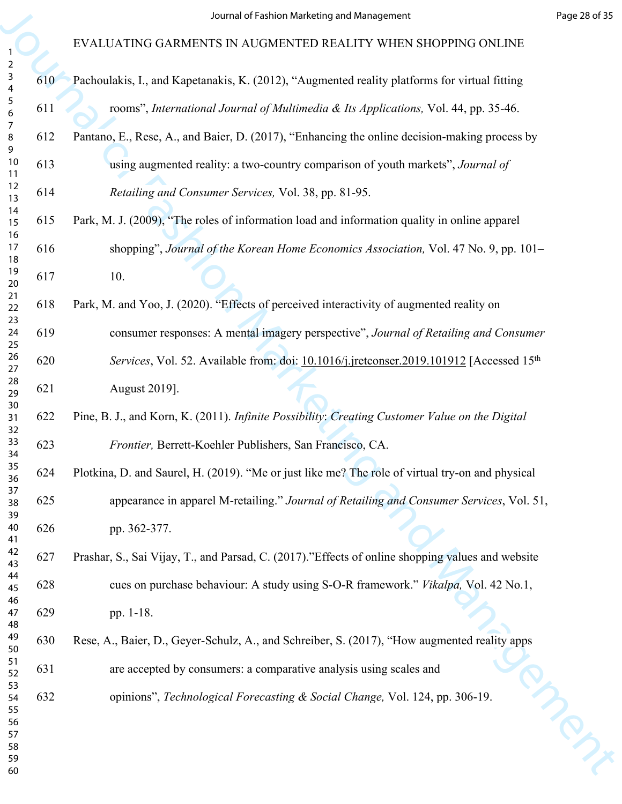|                                     |     | Journal of Fashion Marketing and Management                                                         | Page 28 of 35 |
|-------------------------------------|-----|-----------------------------------------------------------------------------------------------------|---------------|
|                                     |     | EVALUATING GARMENTS IN AUGMENTED REALITY WHEN SHOPPING ONLINE                                       |               |
| $\overline{2}$<br>$\mathsf{3}$<br>4 | 610 | Pachoulakis, I., and Kapetanakis, K. (2012), "Augmented reality platforms for virtual fitting       |               |
| $\sqrt{5}$<br>6                     | 611 | rooms", International Journal of Multimedia & Its Applications, Vol. 44, pp. 35-46.                 |               |
| 7<br>8<br>9                         | 612 | Pantano, E., Rese, A., and Baier, D. (2017), "Enhancing the online decision-making process by       |               |
| 10<br>11                            | 613 | using augmented reality: a two-country comparison of youth markets", Journal of                     |               |
| 12<br>13                            | 614 | Retailing and Consumer Services, Vol. 38, pp. 81-95.                                                |               |
| 14<br>15<br>16                      | 615 | Park, M. J. (2009), "The roles of information load and information quality in online apparel        |               |
| 17<br>18                            | 616 | shopping", Journal of the Korean Home Economics Association, Vol. 47 No. 9, pp. 101–                |               |
| 19<br>20                            | 617 | 10.                                                                                                 |               |
| 21<br>22<br>23                      | 618 | Park, M. and Yoo, J. (2020). "Effects of perceived interactivity of augmented reality on            |               |
| 24<br>25                            | 619 | consumer responses: A mental imagery perspective", Journal of Retailing and Consumer                |               |
| 26<br>27                            | 620 | Services, Vol. 52. Available from: doi: 10.1016/j.jretconser.2019.101912 [Accessed 15 <sup>th</sup> |               |
| 28<br>29<br>30                      | 621 | August 2019].                                                                                       |               |
| 31<br>32                            | 622 | Pine, B. J., and Korn, K. (2011). Infinite Possibility: Creating Customer Value on the Digital      |               |
| 33<br>34                            | 623 | Frontier, Berrett-Koehler Publishers, San Francisco, CA.                                            |               |
| 35<br>36                            | 624 | Plotkina, D. and Saurel, H. (2019). "Me or just like me? The role of virtual try-on and physical    |               |
| 37<br>38<br>39                      | 625 | appearance in apparel M-retailing." Journal of Retailing and Consumer Services, Vol. 51,            |               |
| 40<br>41                            | 626 | pp. 362-377.                                                                                        |               |
| 42<br>43                            | 627 | Prashar, S., Sai Vijay, T., and Parsad, C. (2017)."Effects of online shopping values and website    |               |
| 44<br>45                            | 628 | cues on purchase behaviour: A study using S-O-R framework." <i>Vikalpa</i> , Vol. 42 No.1,          |               |
| 46<br>47<br>48                      | 629 | pp. 1-18.                                                                                           |               |
| 49<br>50                            | 630 | Rese, A., Baier, D., Geyer-Schulz, A., and Schreiber, S. (2017), "How augmented reality apps        |               |
| 51<br>52                            | 631 | are accepted by consumers: a comparative analysis using scales and                                  |               |
| 53<br>54<br>55                      | 632 | opinions", Technological Forecasting & Social Change, Vol. 124, pp. 306-19.                         |               |
| 56<br>57                            |     |                                                                                                     |               |
| 58<br>59                            |     |                                                                                                     |               |
| 60                                  |     |                                                                                                     |               |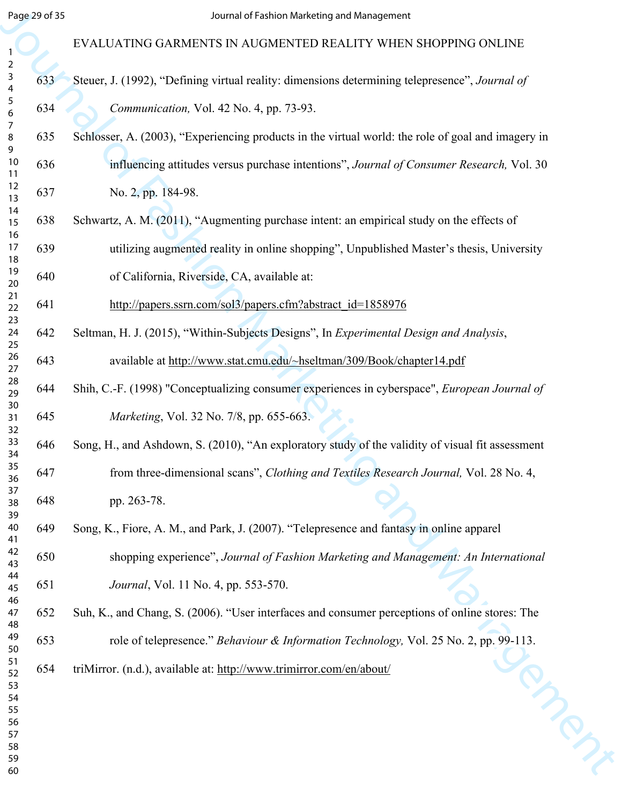#### Segue of B.<br>
EVALUATING GAR[M](http://papers.ssrn.com/sol3/papers.cfm?abstract_id=1858976)ENTS IN ANGEMENTED REALLITY WHEN SHOPPING ONLINE<br>
EVALUATING GARMENTS IN ANGEMENTED MATERIAL SUPPRODUCES INTERNATIONAL SUPPRODUCES IN SAMEL AT SAMEL CONDUCT THE SUPPRODUCES IN A CONSULTATION ON EVALUATING GARMENTS IN AUGMENTED REALITY WHEN SHOPPING ONLINE 633 Steuer, J. (1992), "Defining virtual reality: dimensions determining telepresence", *Journal of Communication,* Vol. 42 No. 4, pp. 73-93. 635 Schlosser, A. (2003), "Experiencing products in the virtual world: the role of goal and imagery in 636 influencing attitudes versus purchase intentions", *Journal of Consumer Research,* Vol. 30 637 No. 2, pp. 184-98. 638 Schwartz, A. M. (2011), "Augmenting purchase intent: an empirical study on the effects of 639 utilizing augmented reality in online shopping", Unpublished Master's thesis, University 640 of California, Riverside, CA, available at: 641 http://papers.ssrn.com/sol3/papers.cfm?abstract\_id=1858976 642 Seltman, H. J. (2015), "Within-Subjects Designs", In *Experimental Design and Analysis*, 643 available at http://www.stat.cmu.edu/~hseltman/309/Book/chapter14.pdf 644 Shih, C.-F. (1998) "Conceptualizing consumer experiences in cyberspace", *European Journal of Marketing*, Vol. 32 No. 7/8, pp. 655-663. 646 Song, H., and Ashdown, S. (2010), "An exploratory study of the validity of visual fit assessment 647 from three-dimensional scans", *Clothing and Textiles Research Journal,* Vol. 28 No. 4, 648 pp. 263-78. 649 Song, K., Fiore, A. M., and Park, J. (2007). "Telepresence and fantasy in online apparel 650 shopping experience", *Journal of Fashion Marketing and Management: An International Journal*, Vol. 11 No. 4, pp. 553-570. 652 Suh, K., and Chang, S. (2006). "User interfaces and consumer perceptions of online stores: The role of telepresence." *Behaviour & Information Technology*, Vol. 25 No. 2, pp. 99-113.<br>
triMirror. (n.d.), available at: <u>http://www.trimirror.com/en/about/</u> 654 triMirror. (n.d.), available at: http://www.trimirror.com/en/about/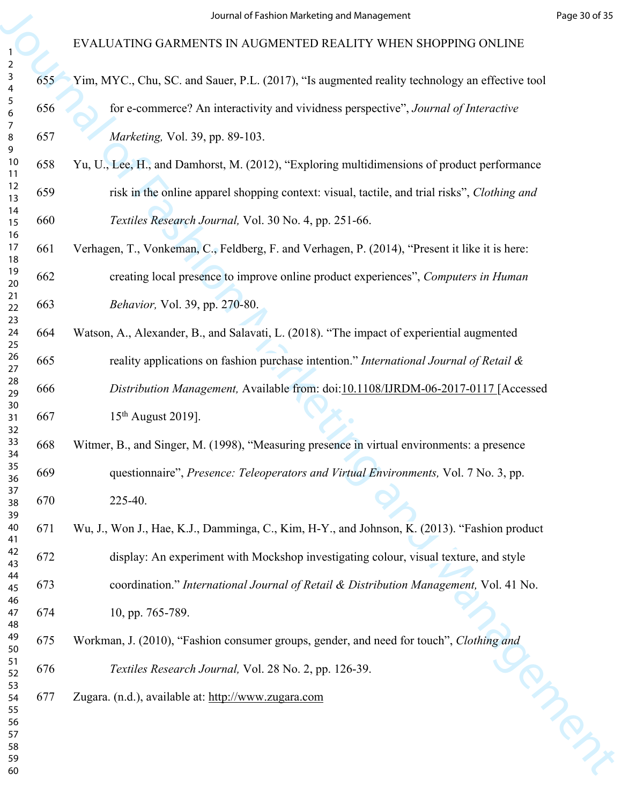|                                                           |     | Journal of Fashion Marketing and Management                                                    | Page 30 of 35 |
|-----------------------------------------------------------|-----|------------------------------------------------------------------------------------------------|---------------|
|                                                           |     | EVALUATING GARMENTS IN AUGMENTED REALITY WHEN SHOPPING ONLINE                                  |               |
| $\overline{2}$<br>$\mathbf{3}$<br>$\overline{\mathbf{4}}$ | 655 | Yim, MYC., Chu, SC. and Sauer, P.L. (2017), "Is augmented reality technology an effective tool |               |
| $\sqrt{5}$<br>6                                           | 656 | for e-commerce? An interactivity and vividness perspective", Journal of Interactive            |               |
| $\overline{7}$<br>8                                       | 657 | Marketing, Vol. 39, pp. 89-103.                                                                |               |
| 9<br>10<br>11                                             | 658 | Yu, U., Lee, H., and Damhorst, M. (2012), "Exploring multidimensions of product performance    |               |
| 12<br>13                                                  | 659 | risk in the online apparel shopping context: visual, tactile, and trial risks", Clothing and   |               |
| 14<br>15                                                  | 660 | Textiles Research Journal, Vol. 30 No. 4, pp. 251-66.                                          |               |
| 16<br>17<br>18                                            | 661 | Verhagen, T., Vonkeman, C., Feldberg, F. and Verhagen, P. (2014), "Present it like it is here: |               |
| 19<br>20                                                  | 662 | creating local presence to improve online product experiences", Computers in Human             |               |
| 21<br>22                                                  | 663 | Behavior, Vol. 39, pp. 270-80.                                                                 |               |
| 23<br>24<br>25                                            | 664 | Watson, A., Alexander, B., and Salavati, L. (2018). "The impact of experiential augmented      |               |
| $26\,$<br>27                                              | 665 | reality applications on fashion purchase intention." International Journal of Retail &         |               |
| 28<br>29                                                  | 666 | Distribution Management, Available from: doi:10.1108/IJRDM-06-2017-0117 [Accessed              |               |
| 30<br>31<br>32                                            | 667 | 15 <sup>th</sup> August 2019].                                                                 |               |
| 33<br>34                                                  | 668 | Witmer, B., and Singer, M. (1998), "Measuring presence in virtual environments: a presence     |               |
| 35<br>36                                                  | 669 | questionnaire", Presence: Teleoperators and Virtual Environments, Vol. 7 No. 3, pp.            |               |
| 37<br>38<br>39                                            | 670 | 225-40.                                                                                        |               |
| 40<br>41                                                  | 671 | Wu, J., Won J., Hae, K.J., Damminga, C., Kim, H-Y., and Johnson, K. (2013). "Fashion product   |               |
| 42<br>43                                                  | 672 | display: An experiment with Mockshop investigating colour, visual texture, and style           |               |
| 44<br>45                                                  | 673 | coordination." International Journal of Retail & Distribution Management, Vol. 41 No.          |               |
| 46<br>47<br>48                                            | 674 | 10, pp. 765-789.                                                                               |               |
| 49<br>50                                                  | 675 | Workman, J. (2010), "Fashion consumer groups, gender, and need for touch", Clothing and        |               |
| 51<br>52                                                  | 676 | Textiles Research Journal, Vol. 28 No. 2, pp. 126-39.                                          |               |
| 53<br>54<br>55                                            | 677 | Zugara. (n.d.), available at: http://www.zugara.com                                            |               |
| 56<br>57                                                  |     |                                                                                                |               |
| 58<br>59                                                  |     |                                                                                                |               |
| 60                                                        |     |                                                                                                |               |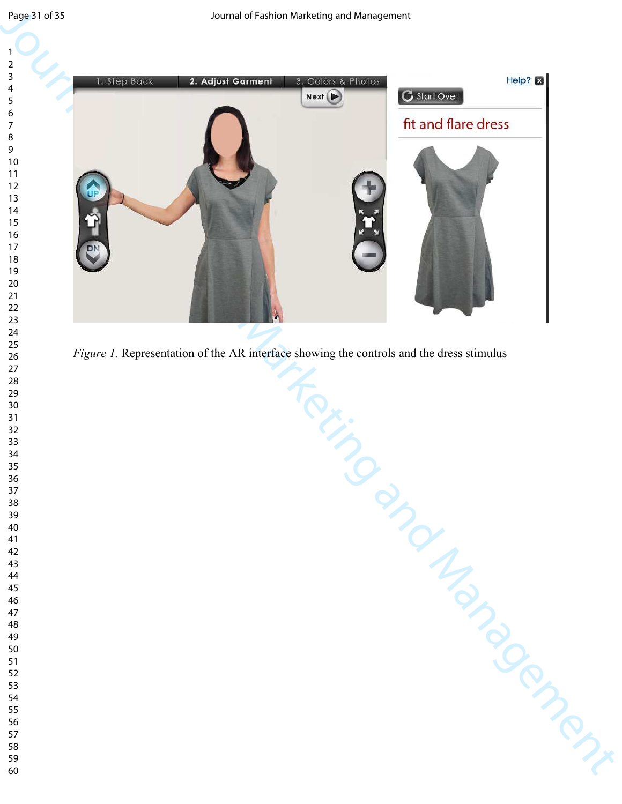

*Figure 1.* Representation of the AR interface showing the controls and the dress stimulus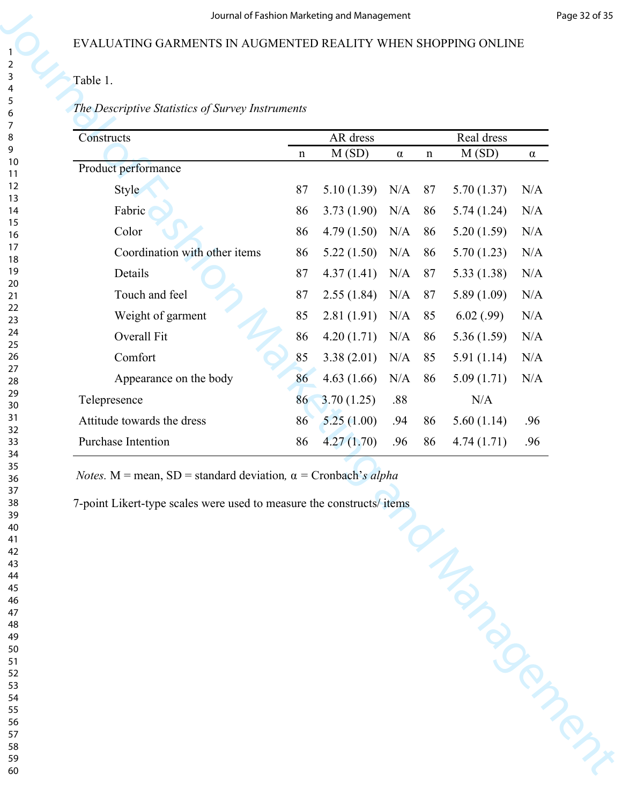#### *The Descriptive Statistics of Survey Instruments*

| AR dress<br>Real dress<br>M(SD)<br>M(SD)<br>$\alpha$<br>$\mathbf n$<br>$\mathbf n$<br>$\alpha$<br>87<br>5.10(1.39)<br>Style<br>N/A<br>87<br>5.70(1.37)<br>Fabric<br>86<br>3.73(1.90)<br>N/A<br>86<br>5.74(1.24)<br>Color<br>4.79(1.50)<br>5.20(1.59)<br>N/A<br>86<br>N/A<br>86<br>Coordination with other items<br>5.22(1.50)<br>86<br>N/A<br>5.70(1.23)<br>N/A<br>86<br>Details<br>87<br>4.37(1.41)<br>N/A<br>87<br>5.33(1.38)<br>N/A<br>Touch and feel<br>87<br>2.55(1.84)<br>N/A<br>87<br>5.89(1.09)<br>N/A<br>Weight of garment<br>85<br>2.81(1.91)<br>6.02(.99)<br>N/A<br>N/A<br>85<br>Overall Fit<br>86<br>4.20(1.71)<br>N/A<br>86<br>5.36(1.59)<br>N/A<br>Comfort<br>85<br>3.38(2.01)<br>N/A<br>85<br>5.91(1.14)<br>N/A<br>86<br>4.63(1.66)<br>Appearance on the body<br>N/A<br>86<br>5.09(1.71)<br>N/A<br>3.70(1.25)<br>.88<br>N/A<br>86<br>5.60(1.14)<br>86<br>5.25(1.00)<br>86<br>.94<br>.96<br>86<br>4.27(1.70)<br>.96<br>86<br>4.74(1.71)<br>.96 | The Descriptive Statistics of Survey Instruments<br>Constructs<br>Product performance<br>Telepresence<br>Attitude towards the dress<br>Purchase Intention<br><i>Notes.</i> M = mean, SD = standard deviation, $\alpha$ = Cronbach's alpha<br>7-point Likert-type scales were used to measure the constructs/items |                   |  |  |  |  |
|--------------------------------------------------------------------------------------------------------------------------------------------------------------------------------------------------------------------------------------------------------------------------------------------------------------------------------------------------------------------------------------------------------------------------------------------------------------------------------------------------------------------------------------------------------------------------------------------------------------------------------------------------------------------------------------------------------------------------------------------------------------------------------------------------------------------------------------------------------------------------------------------------------------------------------------------------------------|-------------------------------------------------------------------------------------------------------------------------------------------------------------------------------------------------------------------------------------------------------------------------------------------------------------------|-------------------|--|--|--|--|
|                                                                                                                                                                                                                                                                                                                                                                                                                                                                                                                                                                                                                                                                                                                                                                                                                                                                                                                                                              |                                                                                                                                                                                                                                                                                                                   |                   |  |  |  |  |
| N/A<br>N/A                                                                                                                                                                                                                                                                                                                                                                                                                                                                                                                                                                                                                                                                                                                                                                                                                                                                                                                                                   |                                                                                                                                                                                                                                                                                                                   |                   |  |  |  |  |
|                                                                                                                                                                                                                                                                                                                                                                                                                                                                                                                                                                                                                                                                                                                                                                                                                                                                                                                                                              |                                                                                                                                                                                                                                                                                                                   | <b>MANDRONNER</b> |  |  |  |  |
|                                                                                                                                                                                                                                                                                                                                                                                                                                                                                                                                                                                                                                                                                                                                                                                                                                                                                                                                                              |                                                                                                                                                                                                                                                                                                                   |                   |  |  |  |  |
|                                                                                                                                                                                                                                                                                                                                                                                                                                                                                                                                                                                                                                                                                                                                                                                                                                                                                                                                                              |                                                                                                                                                                                                                                                                                                                   |                   |  |  |  |  |
|                                                                                                                                                                                                                                                                                                                                                                                                                                                                                                                                                                                                                                                                                                                                                                                                                                                                                                                                                              |                                                                                                                                                                                                                                                                                                                   |                   |  |  |  |  |
|                                                                                                                                                                                                                                                                                                                                                                                                                                                                                                                                                                                                                                                                                                                                                                                                                                                                                                                                                              |                                                                                                                                                                                                                                                                                                                   |                   |  |  |  |  |
|                                                                                                                                                                                                                                                                                                                                                                                                                                                                                                                                                                                                                                                                                                                                                                                                                                                                                                                                                              |                                                                                                                                                                                                                                                                                                                   |                   |  |  |  |  |
|                                                                                                                                                                                                                                                                                                                                                                                                                                                                                                                                                                                                                                                                                                                                                                                                                                                                                                                                                              |                                                                                                                                                                                                                                                                                                                   |                   |  |  |  |  |
|                                                                                                                                                                                                                                                                                                                                                                                                                                                                                                                                                                                                                                                                                                                                                                                                                                                                                                                                                              |                                                                                                                                                                                                                                                                                                                   |                   |  |  |  |  |
|                                                                                                                                                                                                                                                                                                                                                                                                                                                                                                                                                                                                                                                                                                                                                                                                                                                                                                                                                              |                                                                                                                                                                                                                                                                                                                   |                   |  |  |  |  |
|                                                                                                                                                                                                                                                                                                                                                                                                                                                                                                                                                                                                                                                                                                                                                                                                                                                                                                                                                              |                                                                                                                                                                                                                                                                                                                   |                   |  |  |  |  |
|                                                                                                                                                                                                                                                                                                                                                                                                                                                                                                                                                                                                                                                                                                                                                                                                                                                                                                                                                              |                                                                                                                                                                                                                                                                                                                   |                   |  |  |  |  |
|                                                                                                                                                                                                                                                                                                                                                                                                                                                                                                                                                                                                                                                                                                                                                                                                                                                                                                                                                              |                                                                                                                                                                                                                                                                                                                   |                   |  |  |  |  |
|                                                                                                                                                                                                                                                                                                                                                                                                                                                                                                                                                                                                                                                                                                                                                                                                                                                                                                                                                              |                                                                                                                                                                                                                                                                                                                   |                   |  |  |  |  |
|                                                                                                                                                                                                                                                                                                                                                                                                                                                                                                                                                                                                                                                                                                                                                                                                                                                                                                                                                              |                                                                                                                                                                                                                                                                                                                   |                   |  |  |  |  |
|                                                                                                                                                                                                                                                                                                                                                                                                                                                                                                                                                                                                                                                                                                                                                                                                                                                                                                                                                              |                                                                                                                                                                                                                                                                                                                   |                   |  |  |  |  |
|                                                                                                                                                                                                                                                                                                                                                                                                                                                                                                                                                                                                                                                                                                                                                                                                                                                                                                                                                              |                                                                                                                                                                                                                                                                                                                   |                   |  |  |  |  |
|                                                                                                                                                                                                                                                                                                                                                                                                                                                                                                                                                                                                                                                                                                                                                                                                                                                                                                                                                              |                                                                                                                                                                                                                                                                                                                   |                   |  |  |  |  |
|                                                                                                                                                                                                                                                                                                                                                                                                                                                                                                                                                                                                                                                                                                                                                                                                                                                                                                                                                              |                                                                                                                                                                                                                                                                                                                   |                   |  |  |  |  |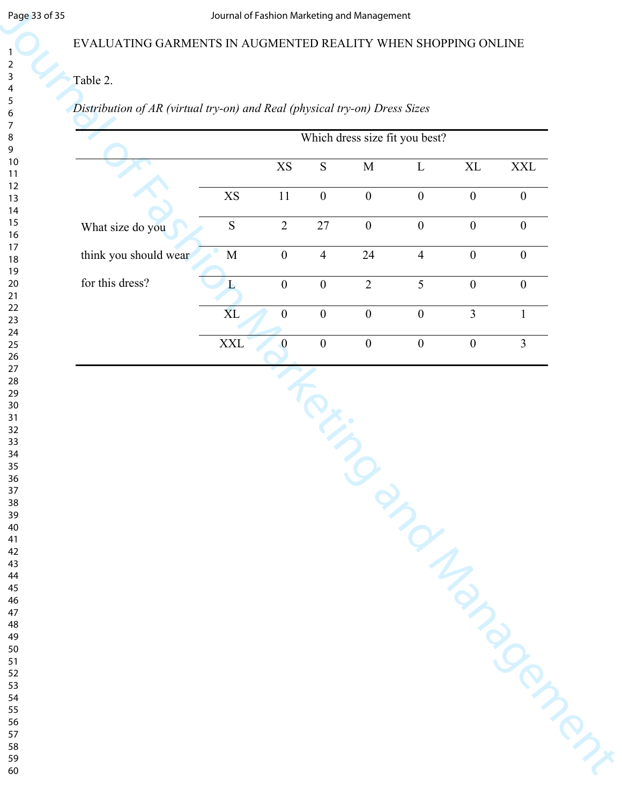#### EVALUATING GARMENTS IN AUGMENTED REALITY WHEN SHOPPING ONLINE

# Table 2.

# *Distribution of AR (virtual try-on) and Real (physical try-on) Dress Sizes*

| EVALUATING GARMENTS IN AUGMENTED REALITY WHEN SHOPPING ONLINE              |                        |                        |                                   | Journal of Fashion Marketing and Management |                                |                  |                  |
|----------------------------------------------------------------------------|------------------------|------------------------|-----------------------------------|---------------------------------------------|--------------------------------|------------------|------------------|
|                                                                            |                        |                        |                                   |                                             |                                |                  |                  |
| Table 2.                                                                   |                        |                        |                                   |                                             |                                |                  |                  |
| Distribution of AR (virtual try-on) and Real (physical try-on) Dress Sizes |                        |                        |                                   |                                             |                                |                  |                  |
|                                                                            |                        |                        |                                   |                                             | Which dress size fit you best? |                  |                  |
|                                                                            |                        | $\mathbf{X}\mathbf{S}$ | ${\bf S}$                         | $\mathbf M$                                 | $\mathbf{L}$                   | $\mbox{XL}$      | $\mathbf{XXL}$   |
|                                                                            | $\mathbf{X}\mathbf{S}$ | $11\,$                 | $\boldsymbol{0}$                  | $\boldsymbol{0}$                            | $\boldsymbol{0}$               | $\boldsymbol{0}$ | $\boldsymbol{0}$ |
| What size do you                                                           | ${\bf S}$              | $\sqrt{2}$             | $27\,$                            | $\boldsymbol{0}$                            | $\boldsymbol{0}$               | $\boldsymbol{0}$ | $\boldsymbol{0}$ |
| think you should wear                                                      | $\mathbf M$            | $\boldsymbol{0}$       | $\overline{4}$                    | 24                                          | $\overline{4}$                 | $\boldsymbol{0}$ | $\boldsymbol{0}$ |
| for this dress?                                                            | $\Gamma$               | $\boldsymbol{0}$       | $\boldsymbol{0}$                  | $\overline{2}$                              | 5                              | $\boldsymbol{0}$ | $\boldsymbol{0}$ |
|                                                                            | XL                     | $\boldsymbol{0}$       | $\boldsymbol{0}$                  | $\boldsymbol{0}$                            | $\boldsymbol{0}$               | $\overline{3}$   | 1                |
|                                                                            | $\mathbf{XXL}$         | $\mathbf{0}$           | $\boldsymbol{0}$                  | $\boldsymbol{0}$                            | $\boldsymbol{0}$               | $\boldsymbol{0}$ | $\overline{3}$   |
|                                                                            |                        |                        | <b>Contract Contract Contract</b> |                                             |                                |                  |                  |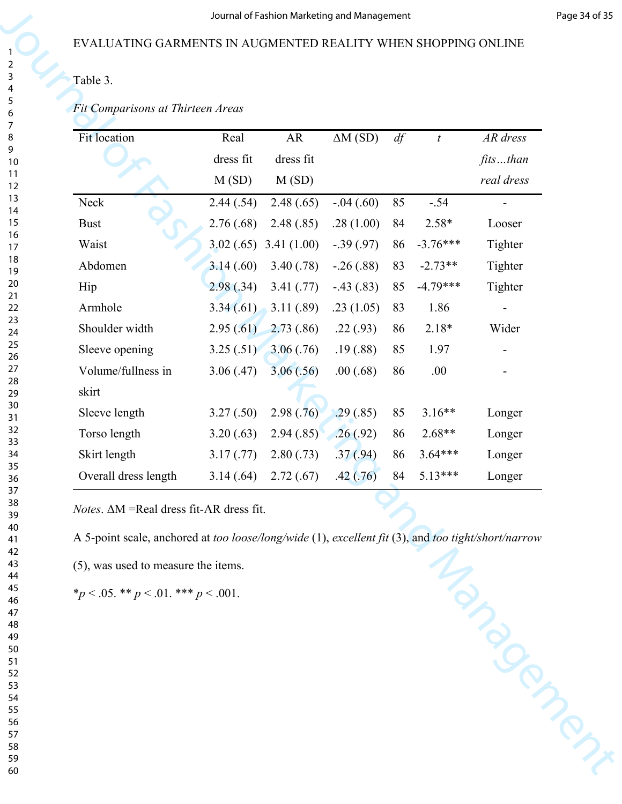# Table 3.

| Table 3.                                                                                            |            |            |                |    |                  |                          |
|-----------------------------------------------------------------------------------------------------|------------|------------|----------------|----|------------------|--------------------------|
| Fit Comparisons at Thirteen Areas                                                                   |            |            |                |    |                  |                          |
| Fit location                                                                                        | Real       | AR         | $\Delta M(SD)$ | df | $\boldsymbol{t}$ | AR dress                 |
|                                                                                                     | dress fit  | dress fit  |                |    |                  | fitsthan                 |
|                                                                                                     | M(SD)      | M(SD)      |                |    |                  | real dress               |
| Neck                                                                                                | 2.44(.54)  | 2.48(.65)  | $-.04(.60)$    | 85 | $-.54$           | $\overline{\phantom{a}}$ |
| <b>Bust</b>                                                                                         | 2.76(.68)  | 2.48(.85)  | .28(1.00)      | 84 | $2.58*$          | Looser                   |
| Waist                                                                                               | 3.02(.65)  | 3.41(1.00) | $-.39(.97)$    | 86 | $-3.76***$       | Tighter                  |
| Abdomen                                                                                             | 3.14(.60)  | 3.40(.78)  | $-.26(.88)$    | 83 | $-2.73**$        | Tighter                  |
| Hip                                                                                                 | 2.98(.34)  | 3.41(.77)  | $-.43(.83)$    | 85 | $-4.79***$       | Tighter                  |
| Armhole                                                                                             | 3.34(.61)  | 3.11(.89)  | .23(1.05)      | 83 | 1.86             |                          |
| Shoulder width                                                                                      | 2.95(.61)  | 2.73(.86)  | .22(.93)       | 86 | $2.18*$          | Wider                    |
| Sleeve opening                                                                                      | 3.25(.51)  | 3.06(.76)  | .19(0.88)      | 85 | 1.97             |                          |
| Volume/fullness in                                                                                  | 3.06(.47)  | 3.06(.56)  | .00(.68)       | 86 | .00.             |                          |
| skirt                                                                                               |            |            |                |    |                  |                          |
| Sleeve length                                                                                       | 3.27(.50)  | 2.98(.76)  | .29(.85)       | 85 | $3.16**$         | Longer                   |
| Torso length                                                                                        | 3.20(.63)  | 2.94(.85)  | .26(.92)       | 86 | 2.68**           | Longer                   |
| Skirt length                                                                                        | 3.17(0.77) | 2.80(.73)  | .37(.94)       | 86 | $3.64***$        | Longer                   |
| Overall dress length                                                                                | 3.14(.64)  | 2.72(.67)  | .42(.76)       | 84 | $5.13***$        | Longer                   |
| <i>Notes.</i> $\Delta M$ = Real dress fit-AR dress fit.                                             |            |            |                |    |                  |                          |
| A 5-point scale, anchored at too loose/long/wide (1), excellent fit (3), and too tight/short/narrow |            |            |                |    |                  |                          |
| (5), was used to measure the items.                                                                 |            |            |                |    |                  | Manuscript               |
| * $p < .05$ . ** $p < .01$ . *** $p < .001$ .                                                       |            |            |                |    |                  |                          |
|                                                                                                     |            |            |                |    |                  |                          |
|                                                                                                     |            |            |                |    |                  |                          |
|                                                                                                     |            |            |                |    |                  |                          |
|                                                                                                     |            |            |                |    |                  |                          |
|                                                                                                     |            |            |                |    |                  |                          |
|                                                                                                     |            |            |                |    |                  |                          |
|                                                                                                     |            |            |                |    |                  |                          |